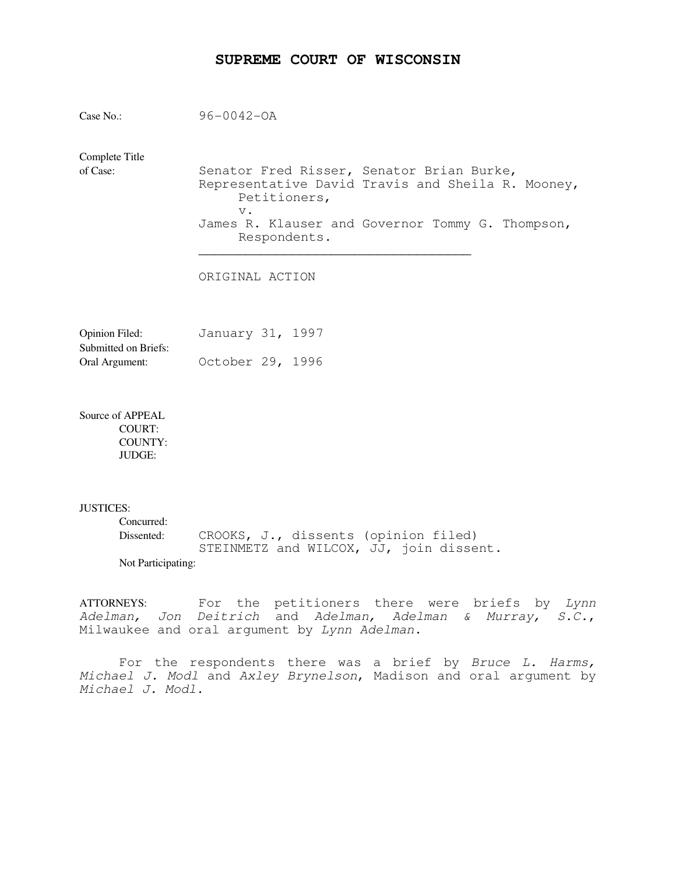# **SUPREME COURT OF WISCONSIN**

| Case $No.$ :               | $96 - 0042 - 0A$                                                                                                                                                                            |
|----------------------------|---------------------------------------------------------------------------------------------------------------------------------------------------------------------------------------------|
| Complete Title<br>of Case: | Senator Fred Risser, Senator Brian Burke,<br>Representative David Travis and Sheila R. Mooney,<br>Petitioners,<br>$V$ .<br>James R. Klauser and Governor Tommy G. Thompson,<br>Respondents. |
|                            | ORIGINAL ACTION                                                                                                                                                                             |
| $O$ pinion $Eiled$         | Tanuary 31<br>1997                                                                                                                                                                          |

| OPHIIOII FIICU.      | Udilual V JI, 1997 |  |
|----------------------|--------------------|--|
| Submitted on Briefs: |                    |  |
| Oral Argument:       | October 29, 1996   |  |

Source of APPEAL COURT: COUNTY: JUDGE:

### JUSTICES:

| Concurred:         |                                         |
|--------------------|-----------------------------------------|
| Dissented:         | CROOKS, J., dissents (opinion filed)    |
|                    | STEINMETZ and WILCOX, JJ, join dissent. |
| Not Participating: |                                         |

ATTORNEYS: For the petitioners there were briefs by Lynn Adelman, Jon Deitrich and Adelman, Adelman & Murray, S.C., Milwaukee and oral argument by Lynn Adelman.

For the respondents there was a brief by Bruce L. Harms, Michael J. Modl and Axley Brynelson, Madison and oral argument by Michael J. Modl.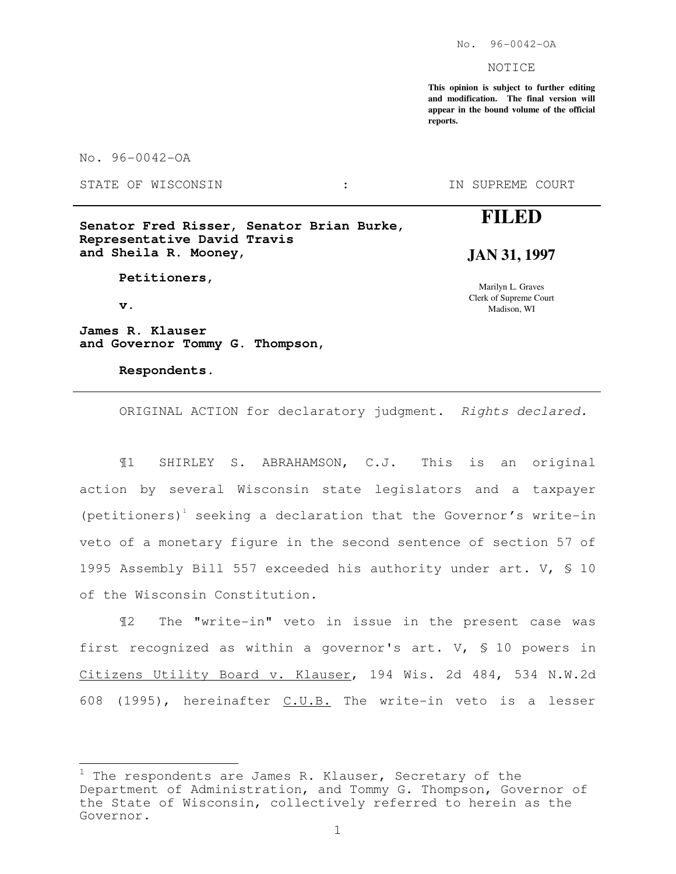No. 96-0042-OA

NOTICE

**This opinion is subject to further editing and modification. The final version will appear in the bound volume of the official reports.**

No. 96-0042-OA

STATE OF WISCONSIN :

IN SUPREME COURT

# **Senator Fred Risser, Senator Brian Burke, Representative David Travis and Sheila R. Mooney,**

 **Petitioners,** 

 **v.** 

Ļ.

**James R. Klauser and Governor Tommy G. Thompson,** 

 **Respondents.** 

# **FILED**

# **JAN 31, 1997**

Marilyn L. Graves Clerk of Supreme Court Madison, WI

ORIGINAL ACTION for declaratory judgment. Rights declared.

¶1 SHIRLEY S. ABRAHAMSON, C.J. This is an original action by several Wisconsin state legislators and a taxpayer (petitioners)<sup>1</sup> seeking a declaration that the Governor's write-in veto of a monetary figure in the second sentence of section 57 of 1995 Assembly Bill 557 exceeded his authority under art. V, § 10 of the Wisconsin Constitution.

¶2 The "write-in" veto in issue in the present case was first recognized as within a governor's art. V, § 10 powers in Citizens Utility Board v. Klauser, 194 Wis. 2d 484, 534 N.W.2d 608 (1995), hereinafter C.U.B. The write-in veto is a lesser

 $1$  The respondents are James R. Klauser, Secretary of the Department of Administration, and Tommy G. Thompson, Governor of the State of Wisconsin, collectively referred to herein as the Governor.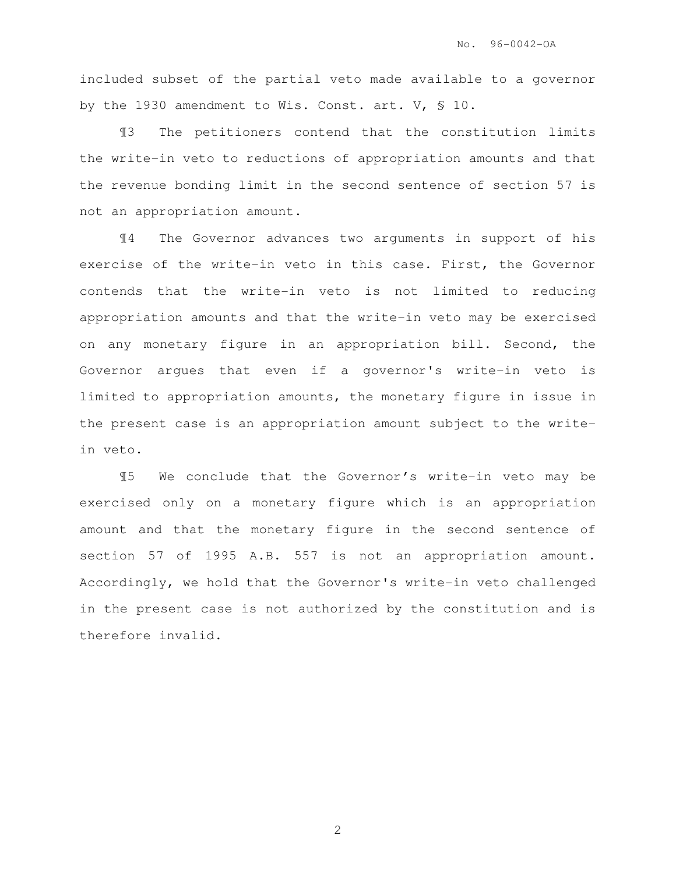included subset of the partial veto made available to a governor by the 1930 amendment to Wis. Const. art. V, § 10.

¶3 The petitioners contend that the constitution limits the write-in veto to reductions of appropriation amounts and that the revenue bonding limit in the second sentence of section 57 is not an appropriation amount.

¶4 The Governor advances two arguments in support of his exercise of the write-in veto in this case. First, the Governor contends that the write-in veto is not limited to reducing appropriation amounts and that the write-in veto may be exercised on any monetary figure in an appropriation bill. Second, the Governor argues that even if a governor's write-in veto is limited to appropriation amounts, the monetary figure in issue in the present case is an appropriation amount subject to the writein veto.

¶5 We conclude that the Governor's write-in veto may be exercised only on a monetary figure which is an appropriation amount and that the monetary figure in the second sentence of section 57 of 1995 A.B. 557 is not an appropriation amount. Accordingly, we hold that the Governor's write-in veto challenged in the present case is not authorized by the constitution and is therefore invalid.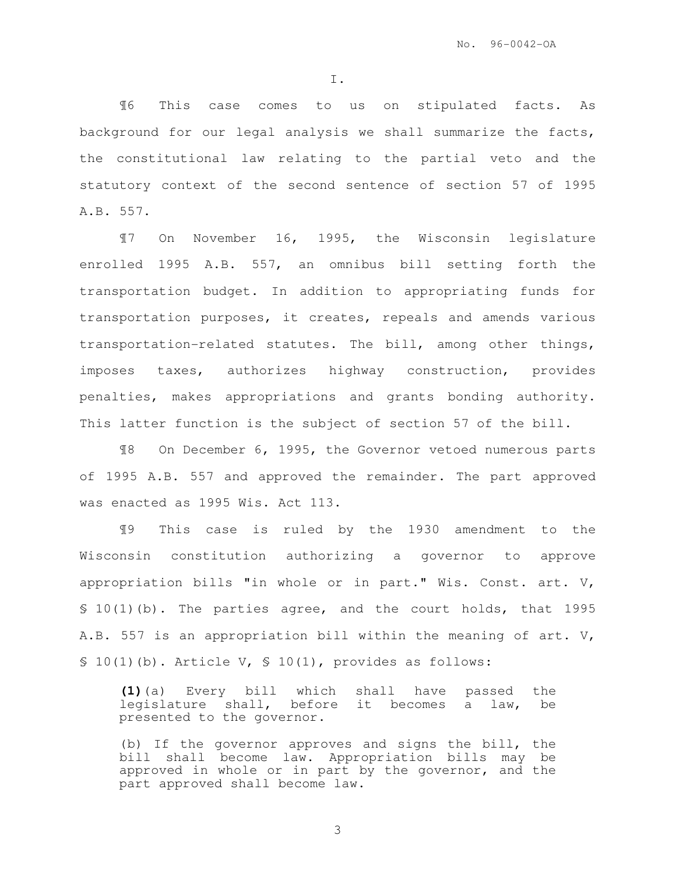I.

¶6 This case comes to us on stipulated facts. As background for our legal analysis we shall summarize the facts, the constitutional law relating to the partial veto and the statutory context of the second sentence of section 57 of 1995 A.B. 557.

¶7 On November 16, 1995, the Wisconsin legislature enrolled 1995 A.B. 557, an omnibus bill setting forth the transportation budget. In addition to appropriating funds for transportation purposes, it creates, repeals and amends various transportation-related statutes. The bill, among other things, imposes taxes, authorizes highway construction, provides penalties, makes appropriations and grants bonding authority. This latter function is the subject of section 57 of the bill.

¶8 On December 6, 1995, the Governor vetoed numerous parts of 1995 A.B. 557 and approved the remainder. The part approved was enacted as 1995 Wis. Act 113.

¶9 This case is ruled by the 1930 amendment to the Wisconsin constitution authorizing a governor to approve appropriation bills "in whole or in part." Wis. Const. art. V, § 10(1)(b). The parties agree, and the court holds, that 1995 A.B. 557 is an appropriation bill within the meaning of art. V,  $$ 10(1)(b)$ . Article V,  $$ 10(1)$ , provides as follows:

**(1)**(a) Every bill which shall have passed the legislature shall, before it becomes a law, be presented to the governor.

(b) If the governor approves and signs the bill, the bill shall become law. Appropriation bills may be approved in whole or in part by the governor, and the part approved shall become law.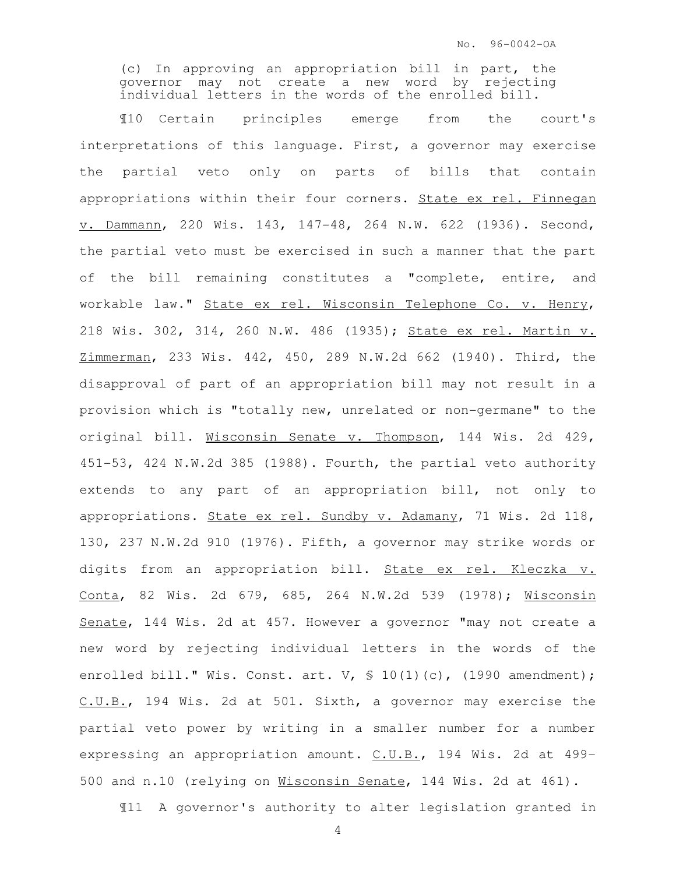(c) In approving an appropriation bill in part, the governor may not create a new word by rejecting individual letters in the words of the enrolled bill.

¶10 Certain principles emerge from the court's interpretations of this language. First, a governor may exercise the partial veto only on parts of bills that contain appropriations within their four corners. State ex rel. Finnegan v. Dammann, 220 Wis. 143, 147-48, 264 N.W. 622 (1936). Second, the partial veto must be exercised in such a manner that the part of the bill remaining constitutes a "complete, entire, and workable law." State ex rel. Wisconsin Telephone Co. v. Henry, 218 Wis. 302, 314, 260 N.W. 486 (1935); State ex rel. Martin v. Zimmerman, 233 Wis. 442, 450, 289 N.W.2d 662 (1940). Third, the disapproval of part of an appropriation bill may not result in a provision which is "totally new, unrelated or non-germane" to the original bill. Wisconsin Senate v. Thompson, 144 Wis. 2d 429, 451-53, 424 N.W.2d 385 (1988). Fourth, the partial veto authority extends to any part of an appropriation bill, not only to appropriations. State ex rel. Sundby v. Adamany, 71 Wis. 2d 118, 130, 237 N.W.2d 910 (1976). Fifth, a governor may strike words or digits from an appropriation bill. State ex rel. Kleczka v. Conta, 82 Wis. 2d 679, 685, 264 N.W.2d 539 (1978); Wisconsin Senate, 144 Wis. 2d at 457. However a governor "may not create a new word by rejecting individual letters in the words of the enrolled bill." Wis. Const. art. V,  $\frac{10(1)}{c}$ , (1990 amendment); C.U.B., 194 Wis. 2d at 501. Sixth, a governor may exercise the partial veto power by writing in a smaller number for a number expressing an appropriation amount. C.U.B., 194 Wis. 2d at 499-500 and n.10 (relying on Wisconsin Senate, 144 Wis. 2d at 461).

¶11 A governor's authority to alter legislation granted in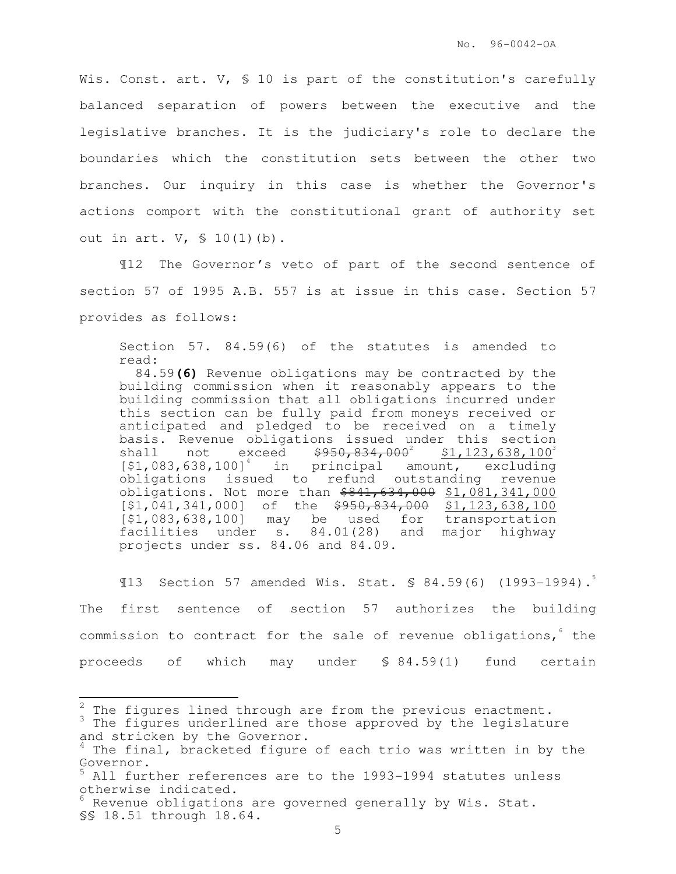Wis. Const. art. V, § 10 is part of the constitution's carefully balanced separation of powers between the executive and the legislative branches. It is the judiciary's role to declare the boundaries which the constitution sets between the other two branches. Our inquiry in this case is whether the Governor's actions comport with the constitutional grant of authority set out in art. V, § 10(1)(b).

¶12 The Governor's veto of part of the second sentence of section 57 of 1995 A.B. 557 is at issue in this case. Section 57 provides as follows:

Section 57. 84.59(6) of the statutes is amended to read:

 84.59**(6)** Revenue obligations may be contracted by the building commission when it reasonably appears to the building commission that all obligations incurred under this section can be fully paid from moneys received or anticipated and pledged to be received on a timely basis. Revenue obligations issued under this section shall not exceed  $$950,834,000^2$  $$1,123,638,100$ <sup>3</sup>  $[$1,083,638,100]$ <sup>4</sup> in principal amount, excluding obligations issued to refund outstanding revenue obligations. Not more than \$841,634,000 \$1,081,341,000 [\$1,041,341,000] of the \$950,834,000 \$1,123,638,100 [\$1,083,638,100] may be used for transportation facilities under s. 84.01(28) and major highway projects under ss. 84.06 and 84.09.

¶13 Section 57 amended Wis. Stat. § 84.59(6) (1993-1994).<sup>5</sup> The first sentence of section 57 authorizes the building commission to contract for the sale of revenue obligations, the proceeds of which may under § 84.59(1) fund certain

 $\mathbf{r}$ 

 $2$  The figures lined through are from the previous enactment. <sup>3</sup> The figures underlined are those approved by the legislature and stricken by the Governor.

 $4$  The final, bracketed figure of each trio was written in by the Governor.

All further references are to the 1993-1994 statutes unless otherwise indicated.

 $^6$  Revenue obligations are governed generally by Wis. Stat. §§ 18.51 through 18.64.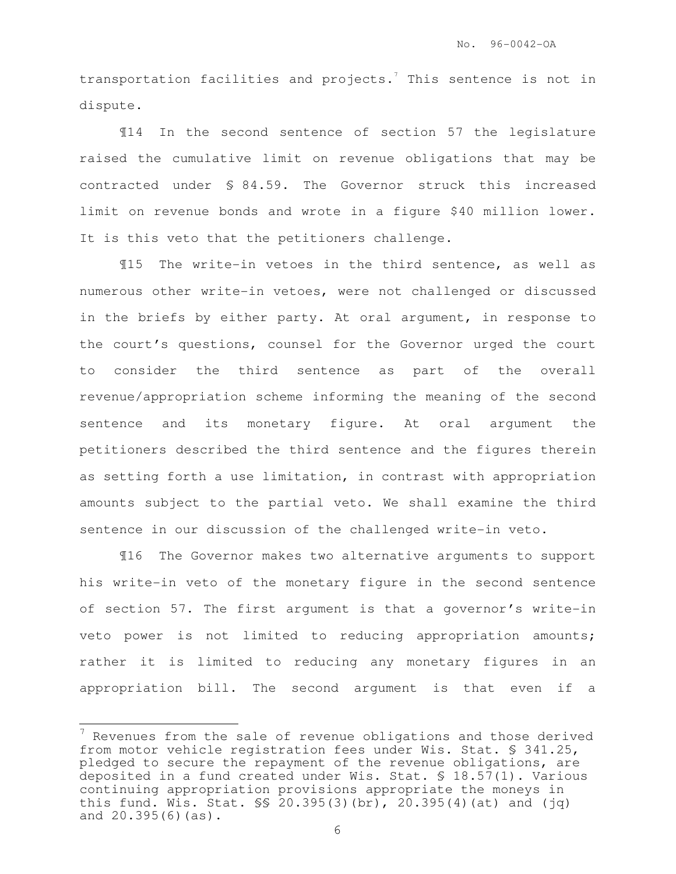transportation facilities and projects. $^7$  This sentence is not in dispute.

¶14 In the second sentence of section 57 the legislature raised the cumulative limit on revenue obligations that may be contracted under § 84.59. The Governor struck this increased limit on revenue bonds and wrote in a figure \$40 million lower. It is this veto that the petitioners challenge.

¶15 The write-in vetoes in the third sentence, as well as numerous other write-in vetoes, were not challenged or discussed in the briefs by either party. At oral argument, in response to the court's questions, counsel for the Governor urged the court to consider the third sentence as part of the overall revenue/appropriation scheme informing the meaning of the second sentence and its monetary figure. At oral argument the petitioners described the third sentence and the figures therein as setting forth a use limitation, in contrast with appropriation amounts subject to the partial veto. We shall examine the third sentence in our discussion of the challenged write-in veto.

¶16 The Governor makes two alternative arguments to support his write-in veto of the monetary figure in the second sentence of section 57. The first argument is that a governor's write-in veto power is not limited to reducing appropriation amounts; rather it is limited to reducing any monetary figures in an appropriation bill. The second argument is that even if a

É.

 $7$  Revenues from the sale of revenue obligations and those derived from motor vehicle registration fees under Wis. Stat. § 341.25, pledged to secure the repayment of the revenue obligations, are deposited in a fund created under Wis. Stat. § 18.57(1). Various continuing appropriation provisions appropriate the moneys in this fund. Wis. Stat.  $\frac{1}{5}$  20.395(3)(br), 20.395(4)(at) and (jq) and 20.395(6)(as).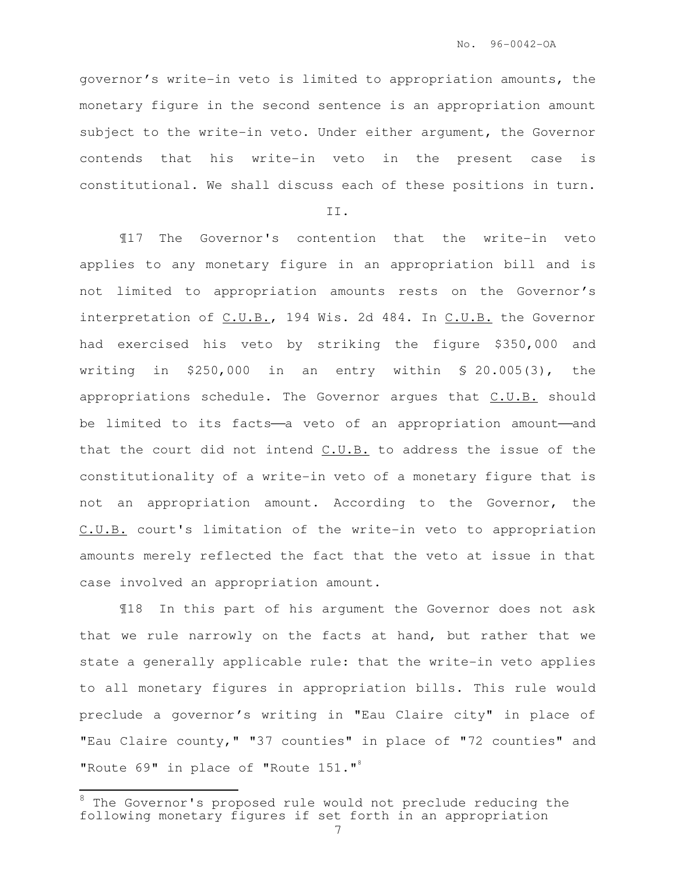governor's write-in veto is limited to appropriation amounts, the monetary figure in the second sentence is an appropriation amount subject to the write-in veto. Under either argument, the Governor contends that his write-in veto in the present case is constitutional. We shall discuss each of these positions in turn.

II.

¶17 The Governor's contention that the write-in veto applies to any monetary figure in an appropriation bill and is not limited to appropriation amounts rests on the Governor's interpretation of C.U.B., 194 Wis. 2d 484. In C.U.B. the Governor had exercised his veto by striking the figure \$350,000 and writing in \$250,000 in an entry within § 20.005(3), the appropriations schedule. The Governor argues that C.U.B. should be limited to its facts-a veto of an appropriation amount-and that the court did not intend C.U.B. to address the issue of the constitutionality of a write-in veto of a monetary figure that is not an appropriation amount. According to the Governor, the C.U.B. court's limitation of the write-in veto to appropriation amounts merely reflected the fact that the veto at issue in that case involved an appropriation amount.

¶18 In this part of his argument the Governor does not ask that we rule narrowly on the facts at hand, but rather that we state a generally applicable rule: that the write-in veto applies to all monetary figures in appropriation bills. This rule would preclude a governor's writing in "Eau Claire city" in place of "Eau Claire county," "37 counties" in place of "72 counties" and "Route 69" in place of "Route 151."<sup>8</sup>

 $\overline{a}$ 

<sup>&</sup>lt;sup>8</sup> The Governor's proposed rule would not preclude reducing the following monetary figures if set forth in an appropriation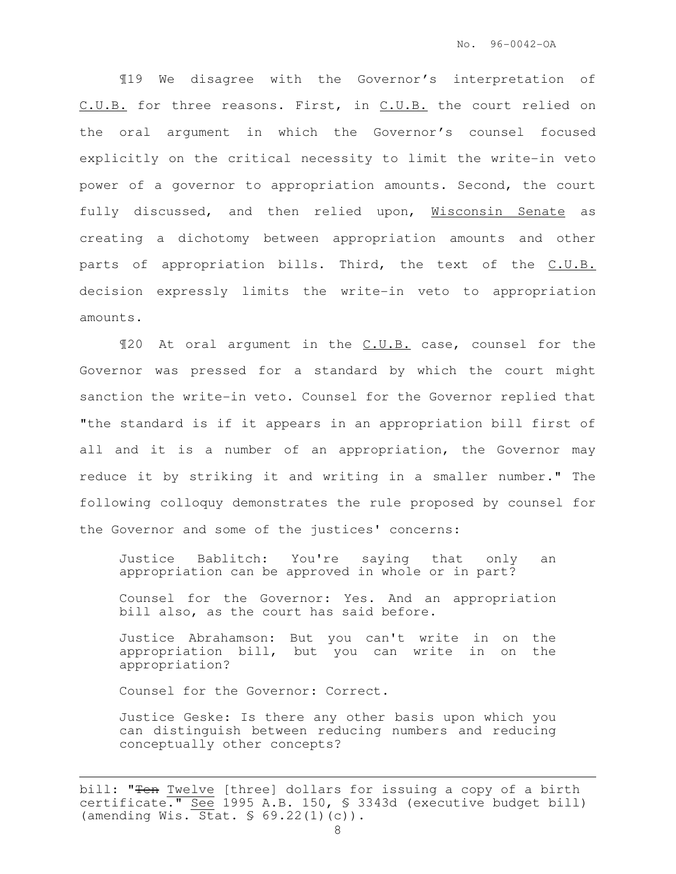¶19 We disagree with the Governor's interpretation of C.U.B. for three reasons. First, in C.U.B. the court relied on the oral argument in which the Governor's counsel focused explicitly on the critical necessity to limit the write-in veto power of a governor to appropriation amounts. Second, the court fully discussed, and then relied upon, Wisconsin Senate as creating a dichotomy between appropriation amounts and other parts of appropriation bills. Third, the text of the C.U.B. decision expressly limits the write-in veto to appropriation amounts.

¶20 At oral argument in the C.U.B. case, counsel for the Governor was pressed for a standard by which the court might sanction the write-in veto. Counsel for the Governor replied that "the standard is if it appears in an appropriation bill first of all and it is a number of an appropriation, the Governor may reduce it by striking it and writing in a smaller number." The following colloquy demonstrates the rule proposed by counsel for the Governor and some of the justices' concerns:

Justice Bablitch: You're saying that only an appropriation can be approved in whole or in part?

Counsel for the Governor: Yes. And an appropriation bill also, as the court has said before.

Justice Abrahamson: But you can't write in on the appropriation bill, but you can write in on the appropriation?

Counsel for the Governor: Correct.

Justice Geske: Is there any other basis upon which you can distinguish between reducing numbers and reducing conceptually other concepts?

i<br>H bill: "Ten Twelve [three] dollars for issuing a copy of a birth certificate." See 1995 A.B. 150, § 3343d (executive budget bill) (amending Wis.  $\overline{Stat. S}$  69.22(1)(c)).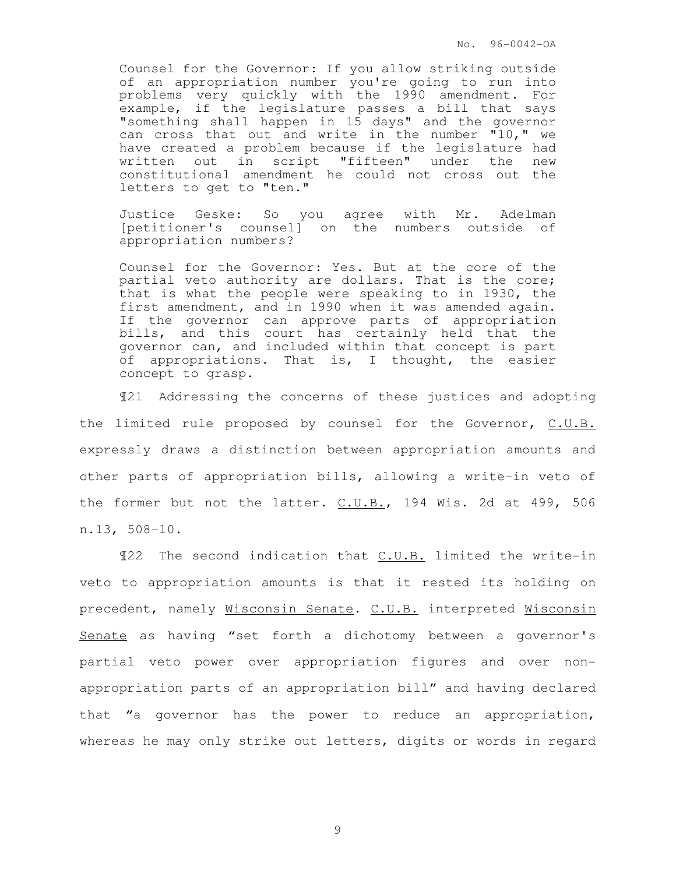No. 96-0042-OA

Counsel for the Governor: If you allow striking outside of an appropriation number you're going to run into problems very quickly with the 1990 amendment. For example, if the legislature passes a bill that says "something shall happen in 15 days" and the governor can cross that out and write in the number "10," we have created a problem because if the legislature had written out in script "fifteen" under the new constitutional amendment he could not cross out the letters to get to "ten."

Justice Geske: So you agree with Mr. Adelman [petitioner's counsel] on the numbers outside of appropriation numbers?

Counsel for the Governor: Yes. But at the core of the partial veto authority are dollars. That is the core; that is what the people were speaking to in 1930, the first amendment, and in 1990 when it was amended again. If the governor can approve parts of appropriation bills, and this court has certainly held that the governor can, and included within that concept is part of appropriations. That is, I thought, the easier concept to grasp.

¶21 Addressing the concerns of these justices and adopting the limited rule proposed by counsel for the Governor, C.U.B. expressly draws a distinction between appropriation amounts and other parts of appropriation bills, allowing a write-in veto of the former but not the latter. C.U.B., 194 Wis. 2d at 499, 506 n.13, 508-10.

¶22 The second indication that C.U.B. limited the write-in veto to appropriation amounts is that it rested its holding on precedent, namely Wisconsin Senate. C.U.B. interpreted Wisconsin Senate as having "set forth a dichotomy between a governor's partial veto power over appropriation figures and over nonappropriation parts of an appropriation bill" and having declared that "a governor has the power to reduce an appropriation, whereas he may only strike out letters, digits or words in regard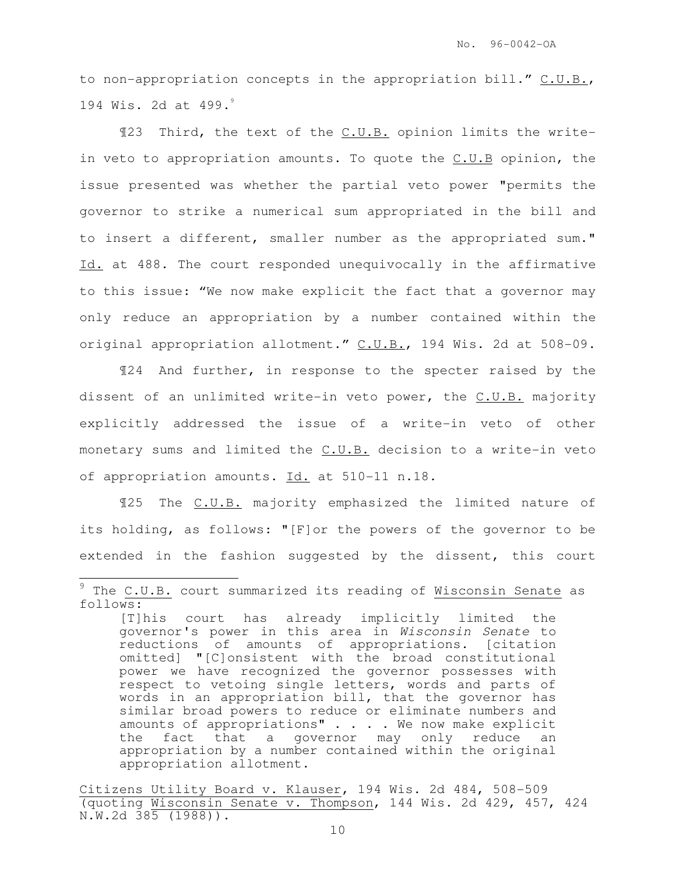to non-appropriation concepts in the appropriation bill." C.U.B., 194 Wis. 2d at 499.<sup>9</sup>

¶23 Third, the text of the C.U.B. opinion limits the writein veto to appropriation amounts. To quote the C.U.B opinion, the issue presented was whether the partial veto power "permits the governor to strike a numerical sum appropriated in the bill and to insert a different, smaller number as the appropriated sum." Id. at 488. The court responded unequivocally in the affirmative to this issue: "We now make explicit the fact that a governor may only reduce an appropriation by a number contained within the original appropriation allotment." C.U.B., 194 Wis. 2d at 508-09.

¶24 And further, in response to the specter raised by the dissent of an unlimited write-in veto power, the C.U.B. majority explicitly addressed the issue of a write-in veto of other monetary sums and limited the C.U.B. decision to a write-in veto of appropriation amounts. Id. at 510-11 n.18.

¶25 The C.U.B. majority emphasized the limited nature of its holding, as follows: "[F]or the powers of the governor to be extended in the fashion suggested by the dissent, this court

 $\mathbf{r}$ 

 $9$  The C.U.B. court summarized its reading of Wisconsin Senate as follows:

<sup>[</sup>T]his court has already implicitly limited the governor's power in this area in Wisconsin Senate to reductions of amounts of appropriations. [citation omitted] "[C]onsistent with the broad constitutional power we have recognized the governor possesses with respect to vetoing single letters, words and parts of words in an appropriation bill, that the governor has similar broad powers to reduce or eliminate numbers and amounts of appropriations" . . . We now make explicit the fact that a governor may only reduce an appropriation by a number contained within the original appropriation allotment.

Citizens Utility Board v. Klauser, 194 Wis. 2d 484, 508-509 (quoting Wisconsin Senate v. Thompson, 144 Wis. 2d 429, 457, 424 N.W.2d 385 (1988)).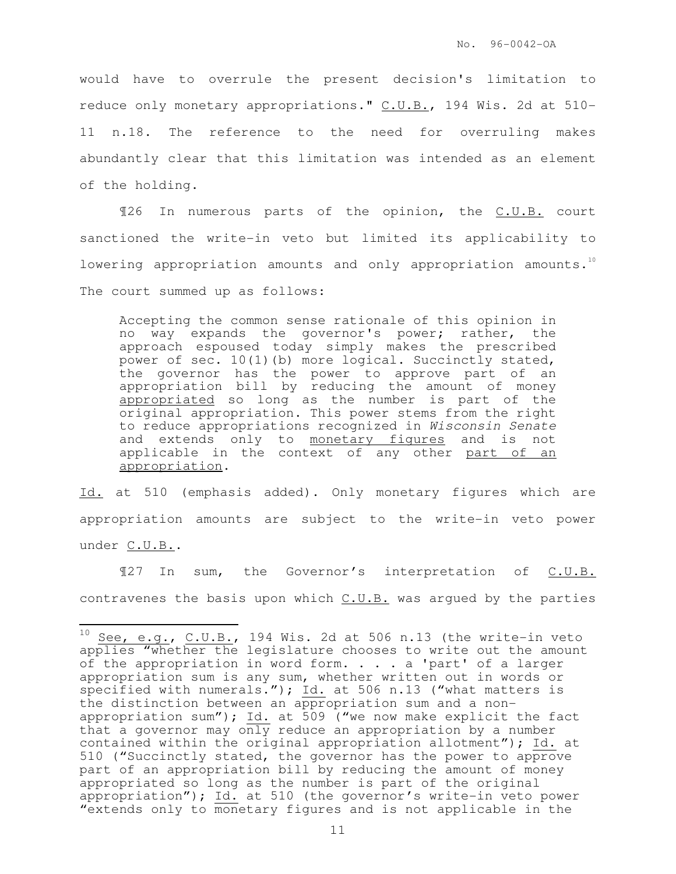would have to overrule the present decision's limitation to reduce only monetary appropriations." C.U.B., 194 Wis. 2d at 510- 11 n.18. The reference to the need for overruling makes abundantly clear that this limitation was intended as an element of the holding.

¶26 In numerous parts of the opinion, the C.U.B. court sanctioned the write-in veto but limited its applicability to lowering appropriation amounts and only appropriation amounts.<sup>10</sup> The court summed up as follows:

Accepting the common sense rationale of this opinion in no way expands the governor's power; rather, the approach espoused today simply makes the prescribed power of sec. 10(1)(b) more logical. Succinctly stated, the governor has the power to approve part of an appropriation bill by reducing the amount of money appropriated so long as the number is part of the original appropriation. This power stems from the right to reduce appropriations recognized in Wisconsin Senate and extends only to monetary figures and is not applicable in the context of any other part of an appropriation.

Id. at 510 (emphasis added). Only monetary figures which are appropriation amounts are subject to the write-in veto power under C.U.B..

¶27 In sum, the Governor's interpretation of C.U.B. contravenes the basis upon which  $C.U.B.$  was argued by the parties

 $\frac{1}{2}$ 

 $^{10}$  See, e.g., C.U.B., 194 Wis. 2d at 506 n.13 (the write-in veto applies "whether the legislature chooses to write out the amount of the appropriation in word form. . . . a 'part' of a larger appropriation sum is any sum, whether written out in words or specified with numerals."); Id. at 506 n.13 ("what matters is the distinction between an appropriation sum and a nonappropriation sum");  $\underline{Id.}$  at  $\overline{509}$  ("we now make explicit the fact that a governor may only reduce an appropriation by a number contained within the original appropriation allotment"); Id. at 510 ("Succinctly stated, the governor has the power to approve part of an appropriation bill by reducing the amount of money appropriated so long as the number is part of the original appropriation"); Id. at 510 (the governor's write-in veto power "extends only to monetary figures and is not applicable in the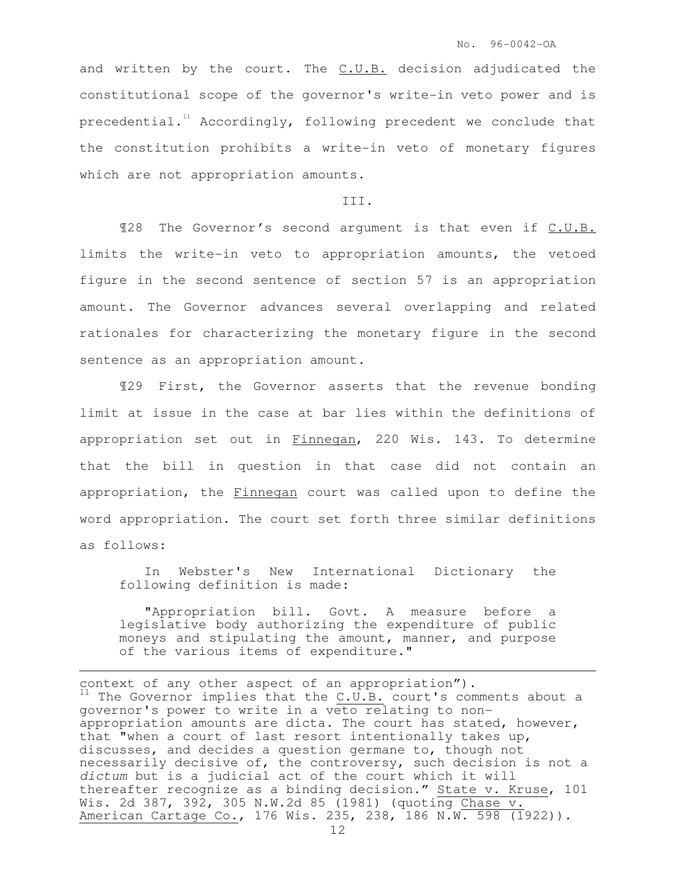and written by the court. The  $C.U.B.$  decision adjudicated the constitutional scope of the governor's write-in veto power and is precedential.<sup>11</sup> Accordingly, following precedent we conclude that the constitution prohibits a write-in veto of monetary figures which are not appropriation amounts.

### III.

¶28 The Governor's second argument is that even if C.U.B. limits the write-in veto to appropriation amounts, the vetoed figure in the second sentence of section 57 is an appropriation amount. The Governor advances several overlapping and related rationales for characterizing the monetary figure in the second sentence as an appropriation amount.

¶29 First, the Governor asserts that the revenue bonding limit at issue in the case at bar lies within the definitions of appropriation set out in Finnegan, 220 Wis. 143. To determine that the bill in question in that case did not contain an appropriation, the Finnegan court was called upon to define the word appropriation. The court set forth three similar definitions as follows:

In Webster's New International Dictionary the following definition is made:

"Appropriation bill. Govt. A measure before a legislative body authorizing the expenditure of public moneys and stipulating the amount, manner, and purpose of the various items of expenditure."

i<br>H

context of any other aspect of an appropriation").  $11$  The Governor implies that the C.U.B. court's comments about a governor's power to write in a veto relating to nonappropriation amounts are dicta. The court has stated, however, that "when a court of last resort intentionally takes up, discusses, and decides a question germane to, though not necessarily decisive of, the controversy, such decision is not a dictum but is a judicial act of the court which it will thereafter recognize as a binding decision." State v. Kruse, 101 Wis. 2d 387, 392, 305 N.W.2d 85 (1981) (quoting Chase v. American Cartage Co., 176 Wis. 235, 238, 186 N.W. 598 (1922)).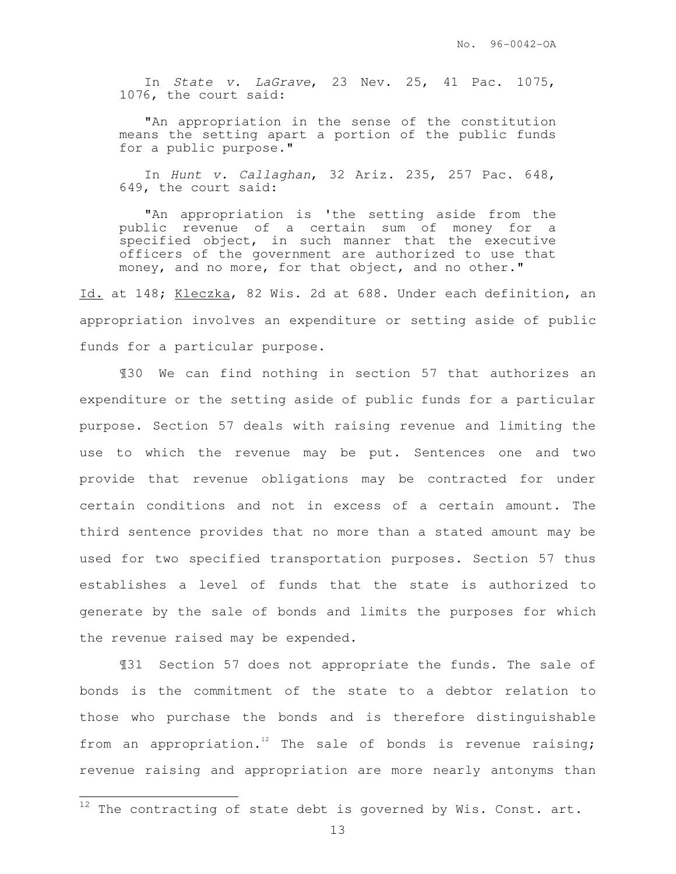In State v. LaGrave, 23 Nev. 25, 41 Pac. 1075, 1076, the court said:

"An appropriation in the sense of the constitution means the setting apart a portion of the public funds for a public purpose."

In Hunt v. Callaghan, 32 Ariz. 235, 257 Pac. 648, 649, the court said:

"An appropriation is 'the setting aside from the public revenue of a certain sum of money for a specified object, in such manner that the executive officers of the government are authorized to use that money, and no more, for that object, and no other."

Id. at 148; Kleczka, 82 Wis. 2d at 688. Under each definition, an appropriation involves an expenditure or setting aside of public funds for a particular purpose.

¶30 We can find nothing in section 57 that authorizes an expenditure or the setting aside of public funds for a particular purpose. Section 57 deals with raising revenue and limiting the use to which the revenue may be put. Sentences one and two provide that revenue obligations may be contracted for under certain conditions and not in excess of a certain amount. The third sentence provides that no more than a stated amount may be used for two specified transportation purposes. Section 57 thus establishes a level of funds that the state is authorized to generate by the sale of bonds and limits the purposes for which the revenue raised may be expended.

¶31 Section 57 does not appropriate the funds. The sale of bonds is the commitment of the state to a debtor relation to those who purchase the bonds and is therefore distinguishable from an appropriation.<sup>12</sup> The sale of bonds is revenue raising; revenue raising and appropriation are more nearly antonyms than

 $\frac{1}{2}$ 

 $12$  The contracting of state debt is governed by Wis. Const. art.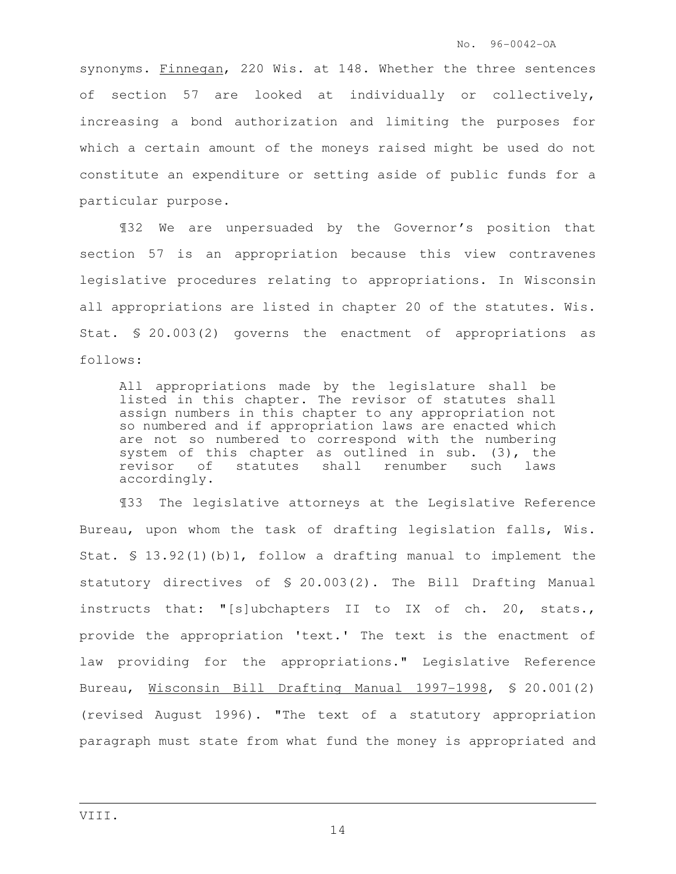synonyms. Finnegan, 220 Wis. at 148. Whether the three sentences of section 57 are looked at individually or collectively, increasing a bond authorization and limiting the purposes for which a certain amount of the moneys raised might be used do not constitute an expenditure or setting aside of public funds for a particular purpose.

¶32 We are unpersuaded by the Governor's position that section 57 is an appropriation because this view contravenes legislative procedures relating to appropriations. In Wisconsin all appropriations are listed in chapter 20 of the statutes. Wis. Stat. § 20.003(2) governs the enactment of appropriations as follows:

All appropriations made by the legislature shall be listed in this chapter. The revisor of statutes shall assign numbers in this chapter to any appropriation not so numbered and if appropriation laws are enacted which are not so numbered to correspond with the numbering system of this chapter as outlined in sub. (3), the revisor of statutes shall renumber such laws accordingly.

¶33 The legislative attorneys at the Legislative Reference Bureau, upon whom the task of drafting legislation falls, Wis. Stat. § 13.92(1)(b)1, follow a drafting manual to implement the statutory directives of § 20.003(2). The Bill Drafting Manual instructs that: "[s]ubchapters II to IX of ch. 20, stats., provide the appropriation 'text.' The text is the enactment of law providing for the appropriations." Legislative Reference Bureau, Wisconsin Bill Drafting Manual 1997-1998, § 20.001(2) (revised August 1996). "The text of a statutory appropriation paragraph must state from what fund the money is appropriated and

i<br>H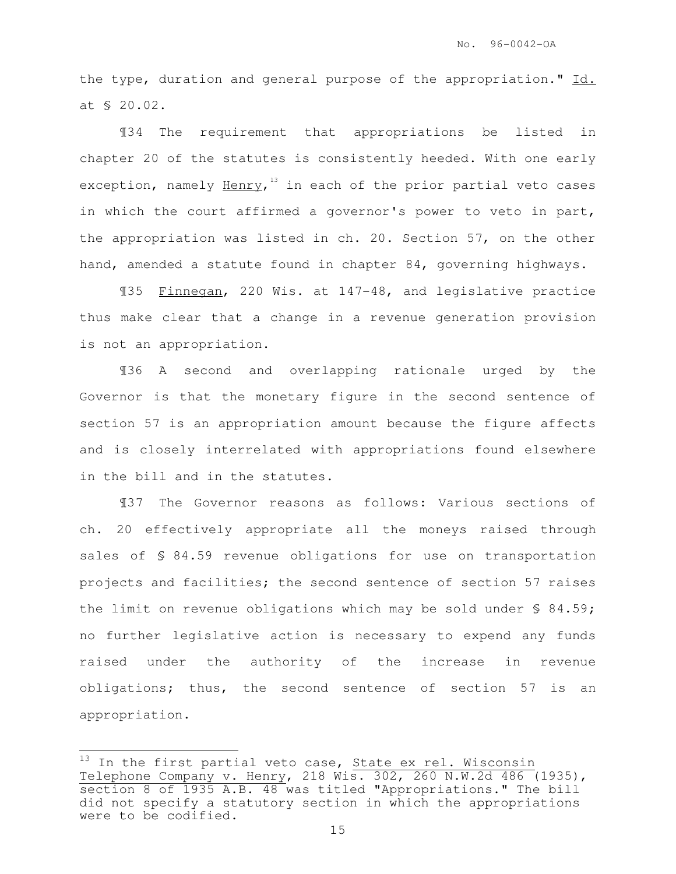the type, duration and general purpose of the appropriation." Id. at § 20.02.

¶34 The requirement that appropriations be listed in chapter 20 of the statutes is consistently heeded. With one early exception, namely <u>Henry</u>,<sup>13</sup> in each of the prior partial veto cases in which the court affirmed a governor's power to veto in part, the appropriation was listed in ch. 20. Section 57, on the other hand, amended a statute found in chapter 84, governing highways.

¶35 Finnegan, 220 Wis. at 147-48, and legislative practice thus make clear that a change in a revenue generation provision is not an appropriation.

¶36 A second and overlapping rationale urged by the Governor is that the monetary figure in the second sentence of section 57 is an appropriation amount because the figure affects and is closely interrelated with appropriations found elsewhere in the bill and in the statutes.

¶37 The Governor reasons as follows: Various sections of ch. 20 effectively appropriate all the moneys raised through sales of \$ 84.59 revenue obligations for use on transportation projects and facilities; the second sentence of section 57 raises the limit on revenue obligations which may be sold under § 84.59; no further legislative action is necessary to expend any funds raised under the authority of the increase in revenue obligations; thus, the second sentence of section 57 is an appropriation.

L.

 $^{13}$  In the first partial veto case, State ex rel. Wisconsin Telephone Company v. Henry, 218 Wis. 302, 260 N.W.2d 486 (1935), section 8 of 1935 A.B. 48 was titled "Appropriations." The bill did not specify a statutory section in which the appropriations were to be codified.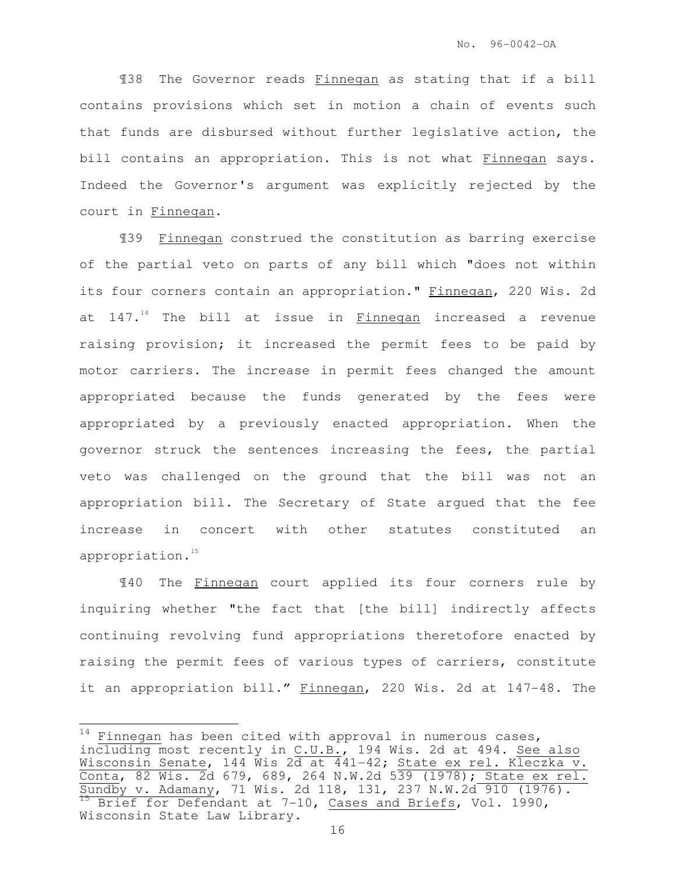¶38 The Governor reads Finnegan as stating that if a bill contains provisions which set in motion a chain of events such that funds are disbursed without further legislative action, the bill contains an appropriation. This is not what Finnegan says. Indeed the Governor's argument was explicitly rejected by the court in Finnegan.

¶39 Finnegan construed the constitution as barring exercise of the partial veto on parts of any bill which "does not within its four corners contain an appropriation." Finnegan, 220 Wis. 2d at  $147.^{14}$  The bill at issue in Finnegan increased a revenue raising provision; it increased the permit fees to be paid by motor carriers. The increase in permit fees changed the amount appropriated because the funds generated by the fees were appropriated by a previously enacted appropriation. When the governor struck the sentences increasing the fees, the partial veto was challenged on the ground that the bill was not an appropriation bill. The Secretary of State argued that the fee increase in concert with other statutes constituted an appropriation.<sup>15</sup>

¶40 The Finnegan court applied its four corners rule by inquiring whether "the fact that [the bill] indirectly affects continuing revolving fund appropriations theretofore enacted by raising the permit fees of various types of carriers, constitute it an appropriation bill." Finnegan, 220 Wis. 2d at 147-48. The

Ļ.  $^{14}$  Finnegan has been cited with approval in numerous cases, including most recently in C.U.B., 194 Wis. 2d at 494. See also Wisconsin Senate, 144 Wis 2 $\overline{{\rm d}}$  at 441-42; State ex rel. K $\overline{{\rm leczka}}$  v. Conta, 82 Wis. 2d 679, 689, 264 N.W.2d 539 (1978); State ex rel. Sundby v. Adamany, 71 Wis. 2d 118, 131, 237 N.W.2d 910 (1976). <sup>15</sup> Brief for Defendant at 7-10, Cases and Briefs, Vol. 1990, Wisconsin State Law Library.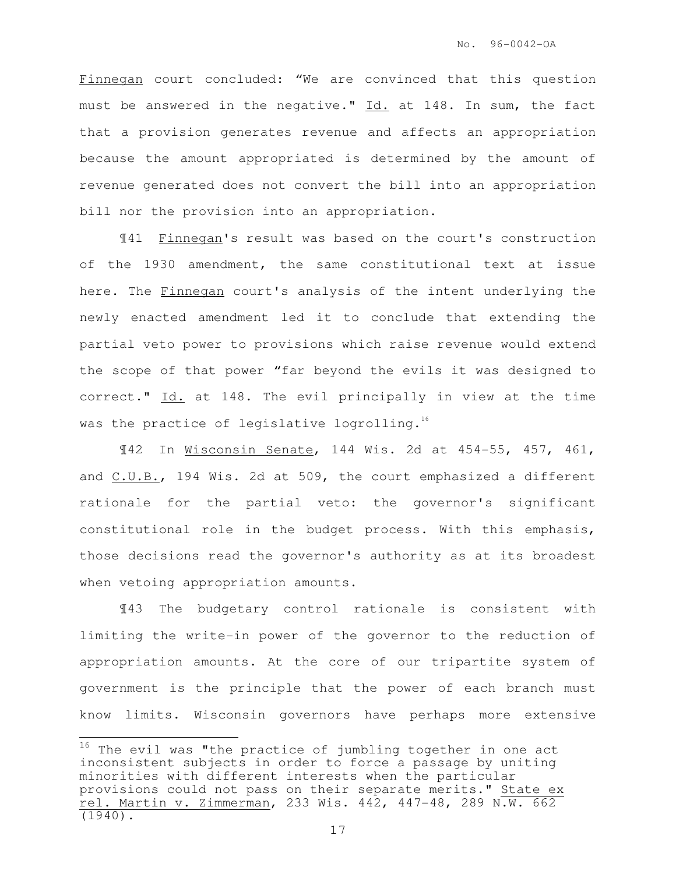Finnegan court concluded: "We are convinced that this question must be answered in the negative." Id. at 148. In sum, the fact that a provision generates revenue and affects an appropriation because the amount appropriated is determined by the amount of revenue generated does not convert the bill into an appropriation bill nor the provision into an appropriation.

¶41 Finnegan's result was based on the court's construction of the 1930 amendment, the same constitutional text at issue here. The Finnegan court's analysis of the intent underlying the newly enacted amendment led it to conclude that extending the partial veto power to provisions which raise revenue would extend the scope of that power "far beyond the evils it was designed to correct." Id. at 148. The evil principally in view at the time was the practice of legislative logrolling. $^{16}$ 

¶42 In Wisconsin Senate, 144 Wis. 2d at 454-55, 457, 461, and C.U.B., 194 Wis. 2d at 509, the court emphasized a different rationale for the partial veto: the governor's significant constitutional role in the budget process. With this emphasis, those decisions read the governor's authority as at its broadest when vetoing appropriation amounts.

¶43 The budgetary control rationale is consistent with limiting the write-in power of the governor to the reduction of appropriation amounts. At the core of our tripartite system of government is the principle that the power of each branch must know limits. Wisconsin governors have perhaps more extensive

L.

 $16$  The evil was "the practice of jumbling together in one act inconsistent subjects in order to force a passage by uniting minorities with different interests when the particular provisions could not pass on their separate merits." State ex rel. Martin v. Zimmerman, 233 Wis. 442, 447-48, 289 N.W. 662 (1940).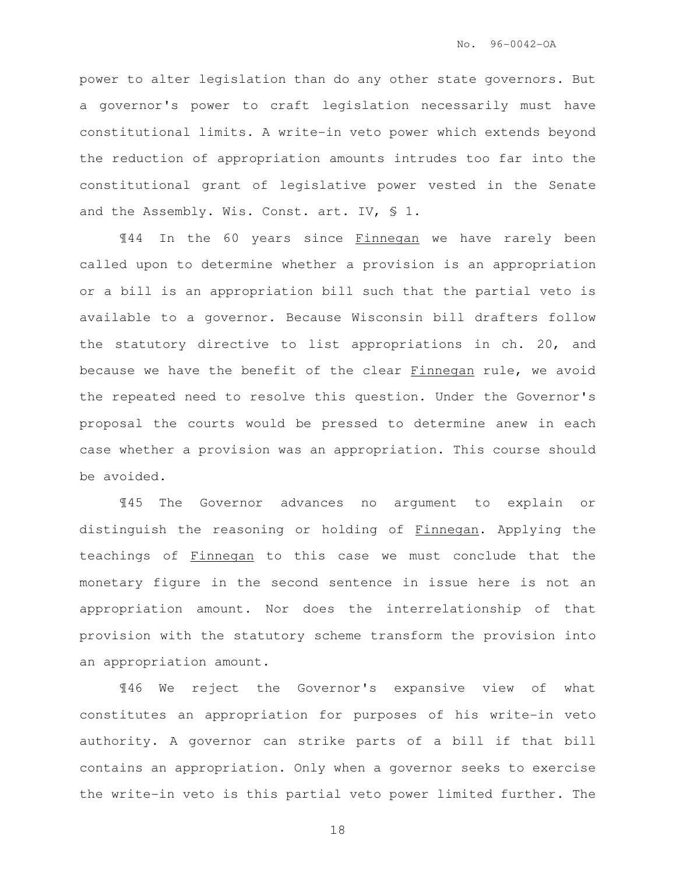power to alter legislation than do any other state governors. But a governor's power to craft legislation necessarily must have constitutional limits. A write-in veto power which extends beyond the reduction of appropriation amounts intrudes too far into the constitutional grant of legislative power vested in the Senate and the Assembly. Wis. Const. art. IV, § 1.

¶44 In the 60 years since Finnegan we have rarely been called upon to determine whether a provision is an appropriation or a bill is an appropriation bill such that the partial veto is available to a governor. Because Wisconsin bill drafters follow the statutory directive to list appropriations in ch. 20, and because we have the benefit of the clear Finnegan rule, we avoid the repeated need to resolve this question. Under the Governor's proposal the courts would be pressed to determine anew in each case whether a provision was an appropriation. This course should be avoided.

¶45 The Governor advances no argument to explain or distinguish the reasoning or holding of Finnegan. Applying the teachings of Finnegan to this case we must conclude that the monetary figure in the second sentence in issue here is not an appropriation amount. Nor does the interrelationship of that provision with the statutory scheme transform the provision into an appropriation amount.

¶46 We reject the Governor's expansive view of what constitutes an appropriation for purposes of his write-in veto authority. A governor can strike parts of a bill if that bill contains an appropriation. Only when a governor seeks to exercise the write-in veto is this partial veto power limited further. The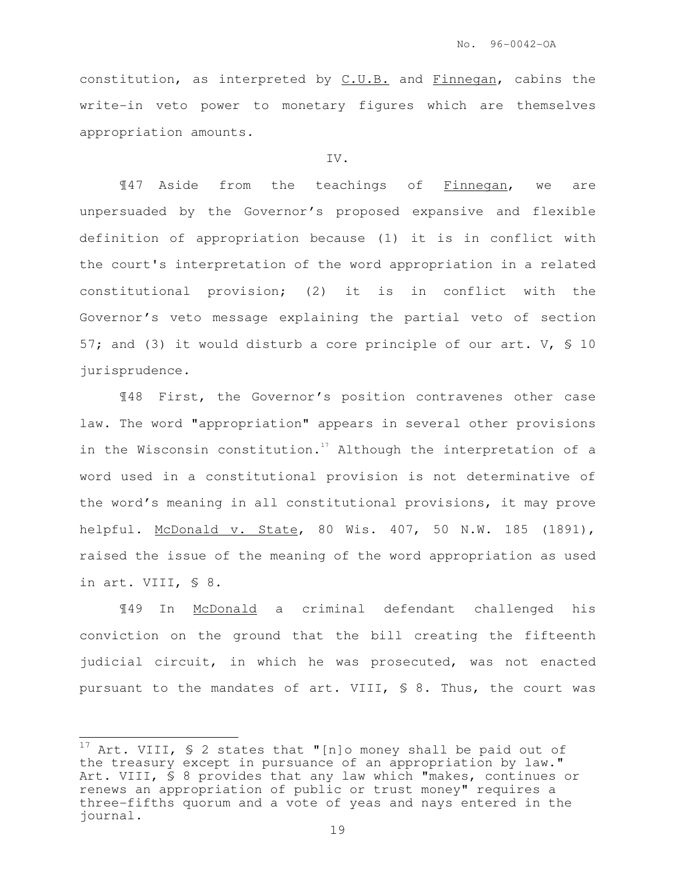constitution, as interpreted by C.U.B. and Finnegan, cabins the write-in veto power to monetary figures which are themselves appropriation amounts.

### IV.

¶47 Aside from the teachings of Finnegan, we are unpersuaded by the Governor's proposed expansive and flexible definition of appropriation because (1) it is in conflict with the court's interpretation of the word appropriation in a related constitutional provision; (2) it is in conflict with the Governor's veto message explaining the partial veto of section 57; and (3) it would disturb a core principle of our art. V, § 10 jurisprudence.

¶48 First, the Governor's position contravenes other case law. The word "appropriation" appears in several other provisions in the Wisconsin constitution.<sup>17</sup> Although the interpretation of a word used in a constitutional provision is not determinative of the word's meaning in all constitutional provisions, it may prove helpful. McDonald v. State, 80 Wis. 407, 50 N.W. 185 (1891), raised the issue of the meaning of the word appropriation as used in art. VIII, § 8.

¶49 In McDonald a criminal defendant challenged his conviction on the ground that the bill creating the fifteenth judicial circuit, in which he was prosecuted, was not enacted pursuant to the mandates of art. VIII, § 8. Thus, the court was

 $\frac{1}{2}$ 

<sup>&</sup>lt;sup>17</sup> Art. VIII,  $\frac{1}{2}$  states that "[n]o money shall be paid out of the treasury except in pursuance of an appropriation by law." Art. VIII, § 8 provides that any law which "makes, continues or renews an appropriation of public or trust money" requires a three-fifths quorum and a vote of yeas and nays entered in the journal.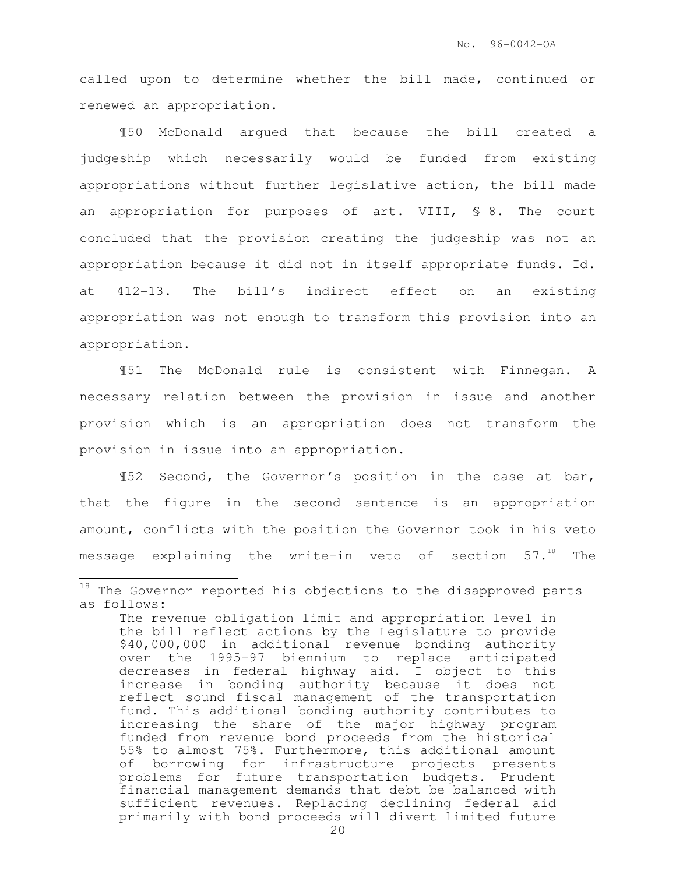called upon to determine whether the bill made, continued or renewed an appropriation.

¶50 McDonald argued that because the bill created a judgeship which necessarily would be funded from existing appropriations without further legislative action, the bill made an appropriation for purposes of art. VIII, § 8. The court concluded that the provision creating the judgeship was not an appropriation because it did not in itself appropriate funds. Id. at 412-13. The bill's indirect effect on an existing appropriation was not enough to transform this provision into an appropriation.

¶51 The McDonald rule is consistent with Finnegan. A necessary relation between the provision in issue and another provision which is an appropriation does not transform the provision in issue into an appropriation.

¶52 Second, the Governor's position in the case at bar, that the figure in the second sentence is an appropriation amount, conflicts with the position the Governor took in his veto message explaining the write-in veto of section  $57.^{18}$  The

 $\frac{1}{2}$ 

 $^{18}$  The Governor reported his objections to the disapproved parts as follows:

The revenue obligation limit and appropriation level in the bill reflect actions by the Legislature to provide \$40,000,000 in additional revenue bonding authority over the 1995-97 biennium to replace anticipated decreases in federal highway aid. I object to this increase in bonding authority because it does not reflect sound fiscal management of the transportation fund. This additional bonding authority contributes to increasing the share of the major highway program funded from revenue bond proceeds from the historical 55% to almost 75%. Furthermore, this additional amount of borrowing for infrastructure projects presents problems for future transportation budgets. Prudent financial management demands that debt be balanced with sufficient revenues. Replacing declining federal aid primarily with bond proceeds will divert limited future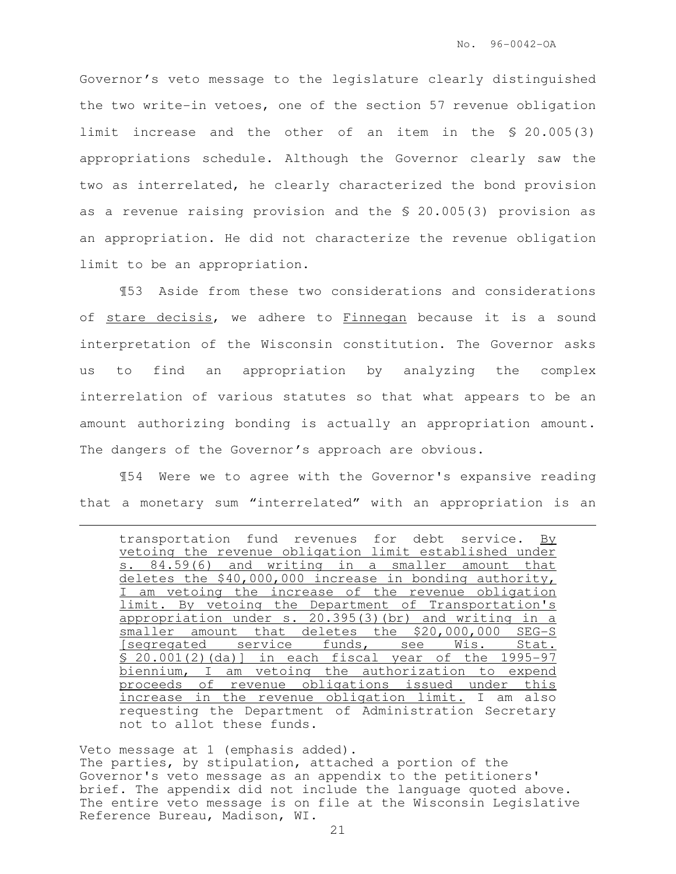Governor's veto message to the legislature clearly distinguished the two write-in vetoes, one of the section 57 revenue obligation limit increase and the other of an item in the § 20.005(3) appropriations schedule. Although the Governor clearly saw the two as interrelated, he clearly characterized the bond provision as a revenue raising provision and the § 20.005(3) provision as an appropriation. He did not characterize the revenue obligation limit to be an appropriation.

¶53 Aside from these two considerations and considerations of stare decisis, we adhere to Finnegan because it is a sound interpretation of the Wisconsin constitution. The Governor asks us to find an appropriation by analyzing the complex interrelation of various statutes so that what appears to be an amount authorizing bonding is actually an appropriation amount. The dangers of the Governor's approach are obvious.

¶54 Were we to agree with the Governor's expansive reading that a monetary sum "interrelated" with an appropriation is an

e<br>S

Veto message at 1 (emphasis added). The parties, by stipulation, attached a portion of the Governor's veto message as an appendix to the petitioners' brief. The appendix did not include the language quoted above. The entire veto message is on file at the Wisconsin Legislative Reference Bureau, Madison, WI.

transportation fund revenues for debt service. By vetoing the revenue obligation limit established under s. 84.59(6) and writing in a smaller amount that deletes the \$40,000,000 increase in bonding authority, I am vetoing the increase of the revenue obligation limit. By vetoing the Department of Transportation's appropriation under s. 20.395(3)(br) and writing in a smaller amount that deletes the \$20,000,000 SEG-S [seqregated service funds, see Wis. Stat. § 20.001(2)(da)] in each fiscal year of the 1995-97 biennium, I am vetoing the authorization to expend proceeds of revenue obligations issued under this increase in the revenue obligation limit. I am also requesting the Department of Administration Secretary not to allot these funds.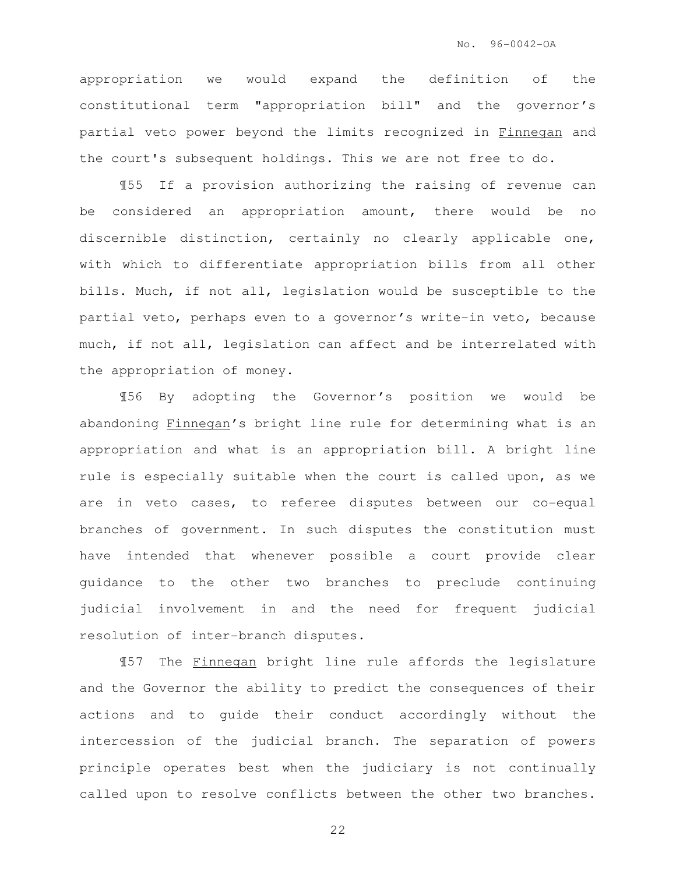appropriation we would expand the definition of the constitutional term "appropriation bill" and the governor's partial veto power beyond the limits recognized in Finnegan and the court's subsequent holdings. This we are not free to do.

¶55 If a provision authorizing the raising of revenue can be considered an appropriation amount, there would be no discernible distinction, certainly no clearly applicable one, with which to differentiate appropriation bills from all other bills. Much, if not all, legislation would be susceptible to the partial veto, perhaps even to a governor's write-in veto, because much, if not all, legislation can affect and be interrelated with the appropriation of money.

¶56 By adopting the Governor's position we would be abandoning Finnegan's bright line rule for determining what is an appropriation and what is an appropriation bill. A bright line rule is especially suitable when the court is called upon, as we are in veto cases, to referee disputes between our co-equal branches of government. In such disputes the constitution must have intended that whenever possible a court provide clear guidance to the other two branches to preclude continuing judicial involvement in and the need for frequent judicial resolution of inter-branch disputes.

¶57 The Finnegan bright line rule affords the legislature and the Governor the ability to predict the consequences of their actions and to guide their conduct accordingly without the intercession of the judicial branch. The separation of powers principle operates best when the judiciary is not continually called upon to resolve conflicts between the other two branches.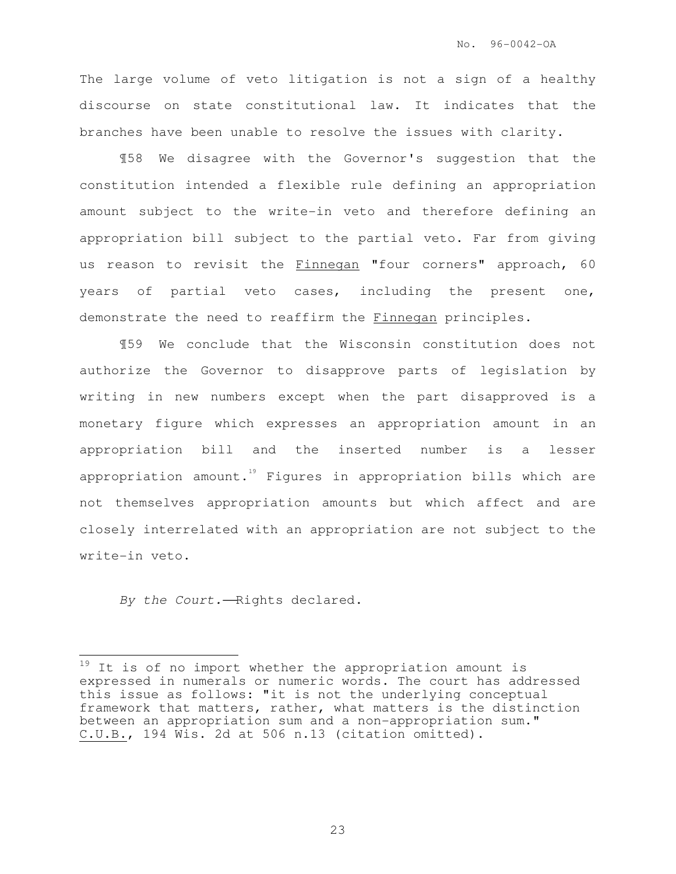The large volume of veto litigation is not a sign of a healthy discourse on state constitutional law. It indicates that the branches have been unable to resolve the issues with clarity.

¶58 We disagree with the Governor's suggestion that the constitution intended a flexible rule defining an appropriation amount subject to the write-in veto and therefore defining an appropriation bill subject to the partial veto. Far from giving us reason to revisit the Finnegan "four corners" approach, 60 years of partial veto cases, including the present one, demonstrate the need to reaffirm the Finnegan principles.

¶59 We conclude that the Wisconsin constitution does not authorize the Governor to disapprove parts of legislation by writing in new numbers except when the part disapproved is a monetary figure which expresses an appropriation amount in an appropriation bill and the inserted number is a lesser appropriation amount.<sup>19</sup> Figures in appropriation bills which are not themselves appropriation amounts but which affect and are closely interrelated with an appropriation are not subject to the write-in veto.

By the Court. - Rights declared.

 $\frac{1}{2}$ 

<sup>&</sup>lt;sup>19</sup> It is of no import whether the appropriation amount is expressed in numerals or numeric words. The court has addressed this issue as follows: "it is not the underlying conceptual framework that matters, rather, what matters is the distinction between an appropriation sum and a non-appropriation sum." C.U.B., 194 Wis. 2d at 506 n.13 (citation omitted).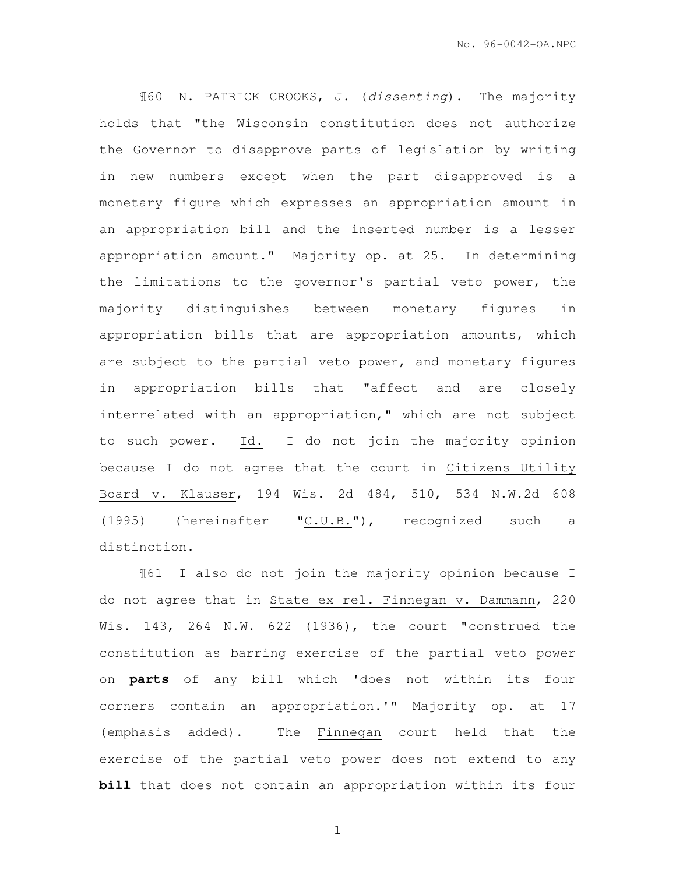¶60 N. PATRICK CROOKS, J. (dissenting). The majority holds that "the Wisconsin constitution does not authorize the Governor to disapprove parts of legislation by writing in new numbers except when the part disapproved is a monetary figure which expresses an appropriation amount in an appropriation bill and the inserted number is a lesser appropriation amount." Majority op. at 25. In determining the limitations to the governor's partial veto power, the majority distinguishes between monetary figures in appropriation bills that are appropriation amounts, which are subject to the partial veto power, and monetary figures in appropriation bills that "affect and are closely interrelated with an appropriation," which are not subject to such power. Id. I do not join the majority opinion because I do not agree that the court in Citizens Utility Board v. Klauser, 194 Wis. 2d 484, 510, 534 N.W.2d 608 (1995) (hereinafter " $C.U.B.'$ "), recognized such a distinction.

¶61 I also do not join the majority opinion because I do not agree that in State ex rel. Finnegan v. Dammann, 220 Wis. 143, 264 N.W. 622 (1936), the court "construed the constitution as barring exercise of the partial veto power on **parts** of any bill which 'does not within its four corners contain an appropriation.'" Majority op. at 17 (emphasis added). The Finnegan court held that the exercise of the partial veto power does not extend to any **bill** that does not contain an appropriation within its four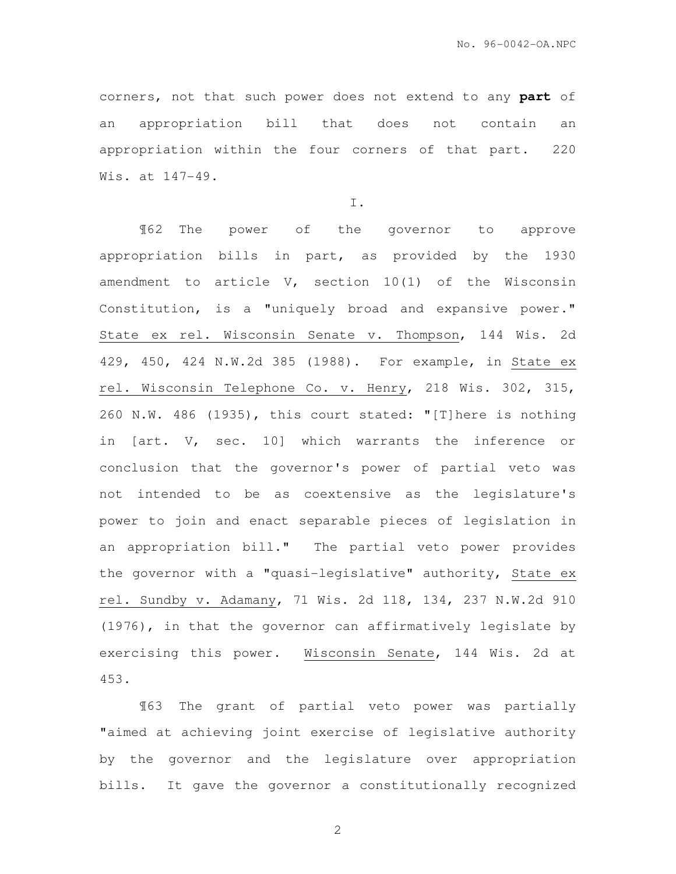corners, not that such power does not extend to any **part** of an appropriation bill that does not contain an appropriation within the four corners of that part. 220 Wis. at 147-49.

I.

¶62 The power of the governor to approve appropriation bills in part, as provided by the 1930 amendment to article V, section 10(1) of the Wisconsin Constitution, is a "uniquely broad and expansive power." State ex rel. Wisconsin Senate v. Thompson, 144 Wis. 2d 429, 450, 424 N.W.2d 385 (1988). For example, in State ex rel. Wisconsin Telephone Co. v. Henry, 218 Wis. 302, 315, 260 N.W. 486 (1935), this court stated: "[T]here is nothing in [art. V, sec. 10] which warrants the inference or conclusion that the governor's power of partial veto was not intended to be as coextensive as the legislature's power to join and enact separable pieces of legislation in an appropriation bill." The partial veto power provides the governor with a "quasi-legislative" authority, State ex rel. Sundby v. Adamany, 71 Wis. 2d 118, 134, 237 N.W.2d 910 (1976), in that the governor can affirmatively legislate by exercising this power. Wisconsin Senate, 144 Wis. 2d at 453.

¶63 The grant of partial veto power was partially "aimed at achieving joint exercise of legislative authority by the governor and the legislature over appropriation bills. It gave the governor a constitutionally recognized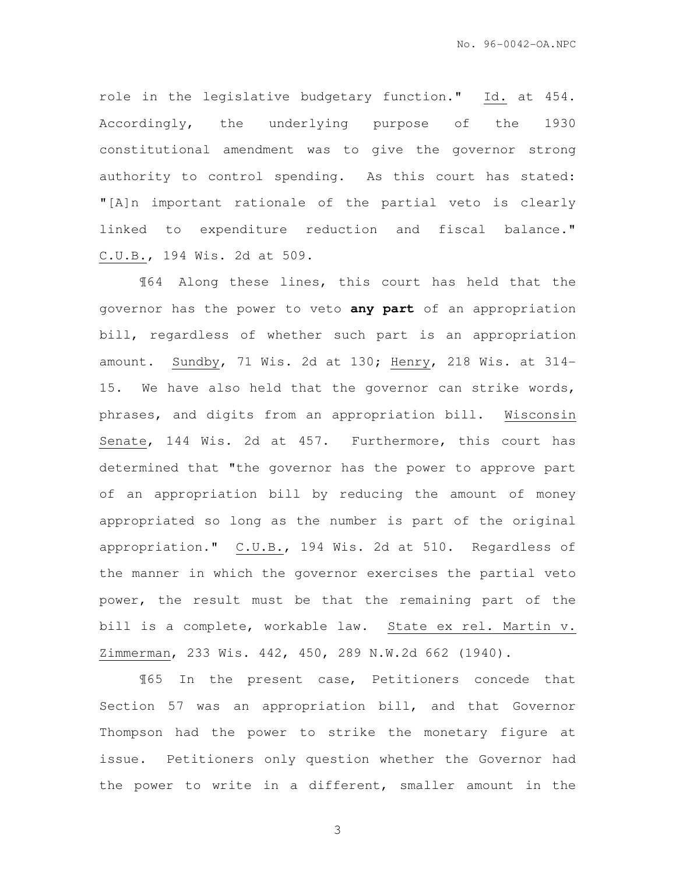role in the legislative budgetary function." Id. at 454. Accordingly, the underlying purpose of the 1930 constitutional amendment was to give the governor strong authority to control spending. As this court has stated: "[A]n important rationale of the partial veto is clearly linked to expenditure reduction and fiscal balance." C.U.B., 194 Wis. 2d at 509.

¶64 Along these lines, this court has held that the governor has the power to veto **any part** of an appropriation bill, regardless of whether such part is an appropriation amount. Sundby, 71 Wis. 2d at 130; Henry, 218 Wis. at 314- 15. We have also held that the governor can strike words, phrases, and digits from an appropriation bill. Wisconsin Senate, 144 Wis. 2d at 457. Furthermore, this court has determined that "the governor has the power to approve part of an appropriation bill by reducing the amount of money appropriated so long as the number is part of the original appropriation." C.U.B., 194 Wis. 2d at 510. Regardless of the manner in which the governor exercises the partial veto power, the result must be that the remaining part of the bill is a complete, workable law. State ex rel. Martin v. Zimmerman, 233 Wis. 442, 450, 289 N.W.2d 662 (1940).

¶65 In the present case, Petitioners concede that Section 57 was an appropriation bill, and that Governor Thompson had the power to strike the monetary figure at issue. Petitioners only question whether the Governor had the power to write in a different, smaller amount in the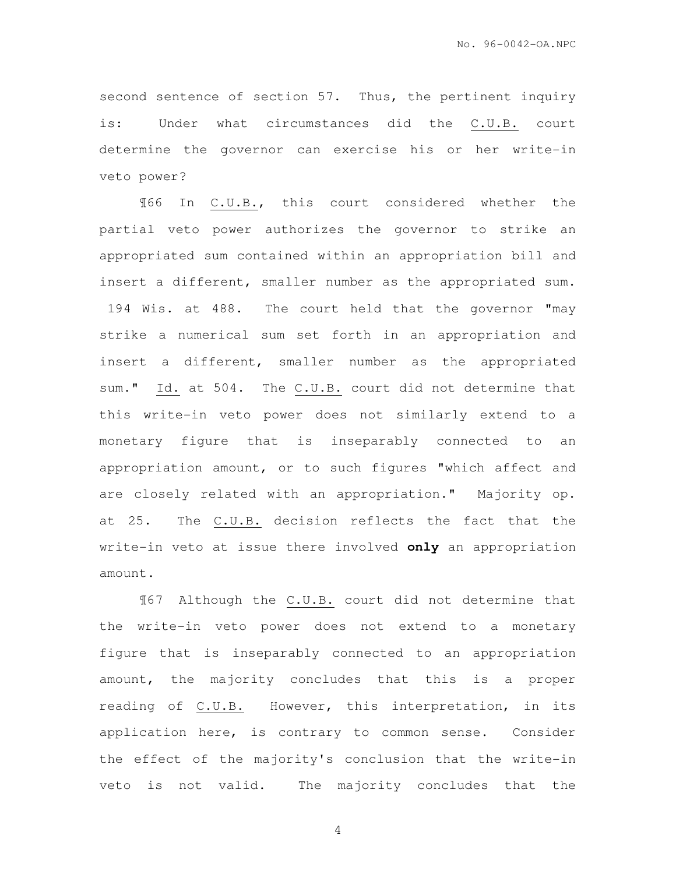second sentence of section 57. Thus, the pertinent inquiry is: Under what circumstances did the C.U.B. court determine the governor can exercise his or her write-in veto power?

¶66 In C.U.B., this court considered whether the partial veto power authorizes the governor to strike an appropriated sum contained within an appropriation bill and insert a different, smaller number as the appropriated sum. 194 Wis. at 488. The court held that the governor "may strike a numerical sum set forth in an appropriation and insert a different, smaller number as the appropriated sum." Id. at 504. The C.U.B. court did not determine that this write-in veto power does not similarly extend to a monetary figure that is inseparably connected to an appropriation amount, or to such figures "which affect and are closely related with an appropriation." Majority op. at 25. The C.U.B. decision reflects the fact that the write-in veto at issue there involved **only** an appropriation amount.

¶67 Although the C.U.B. court did not determine that the write-in veto power does not extend to a monetary figure that is inseparably connected to an appropriation amount, the majority concludes that this is a proper reading of C.U.B. However, this interpretation, in its application here, is contrary to common sense. Consider the effect of the majority's conclusion that the write-in veto is not valid. The majority concludes that the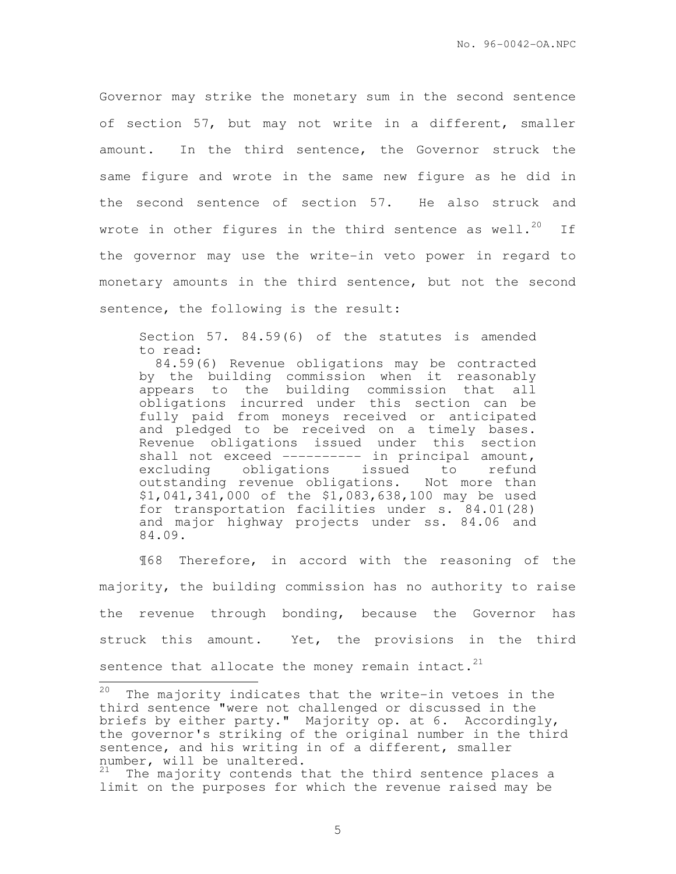Governor may strike the monetary sum in the second sentence of section 57, but may not write in a different, smaller amount. In the third sentence, the Governor struck the same figure and wrote in the same new figure as he did in the second sentence of section 57. He also struck and wrote in other figures in the third sentence as well.<sup>20</sup> If the governor may use the write-in veto power in regard to monetary amounts in the third sentence, but not the second sentence, the following is the result:

Section 57. 84.59(6) of the statutes is amended to read:

 84.59(6) Revenue obligations may be contracted by the building commission when it reasonably appears to the building commission that all obligations incurred under this section can be fully paid from moneys received or anticipated and pledged to be received on a timely bases. Revenue obligations issued under this section shall not exceed ---------- in principal amount, excluding obligations issued to refund outstanding revenue obligations. Not more than \$1,041,341,000 of the \$1,083,638,100 may be used for transportation facilities under s. 84.01(28) and major highway projects under ss. 84.06 and 84.09.

¶68 Therefore, in accord with the reasoning of the majority, the building commission has no authority to raise the revenue through bonding, because the Governor has struck this amount. Yet, the provisions in the third sentence that allocate the money remain intact. $21$ 

<sup>20</sup> The majority indicates that the write-in vetoes in the third sentence "were not challenged or discussed in the briefs by either party." Majority op. at 6. Accordingly, the governor's striking of the original number in the third sentence, and his writing in of a different, smaller number, will be unaltered.

<sup>&</sup>lt;sup>21</sup> The majority contends that the third sentence places a limit on the purposes for which the revenue raised may be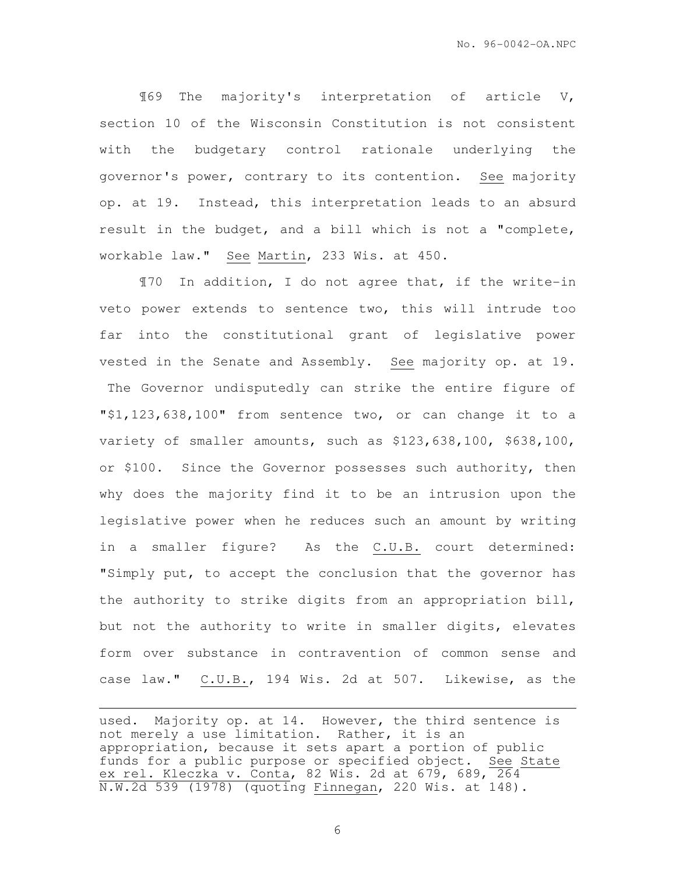¶69 The majority's interpretation of article V, section 10 of the Wisconsin Constitution is not consistent with the budgetary control rationale underlying the governor's power, contrary to its contention. See majority op. at 19. Instead, this interpretation leads to an absurd result in the budget, and a bill which is not a "complete, workable law." See Martin, 233 Wis. at 450.

¶70 In addition, I do not agree that, if the write-in veto power extends to sentence two, this will intrude too far into the constitutional grant of legislative power vested in the Senate and Assembly. See majority op. at 19. The Governor undisputedly can strike the entire figure of "\$1,123,638,100" from sentence two, or can change it to a variety of smaller amounts, such as \$123,638,100, \$638,100, or \$100. Since the Governor possesses such authority, then why does the majority find it to be an intrusion upon the legislative power when he reduces such an amount by writing in a smaller figure? As the C.U.B. court determined: "Simply put, to accept the conclusion that the governor has the authority to strike digits from an appropriation bill, but not the authority to write in smaller digits, elevates form over substance in contravention of common sense and case law." C.U.B., 194 Wis. 2d at 507. Likewise, as the

used. Majority op. at 14. However, the third sentence is not merely a use limitation. Rather, it is an appropriation, because it sets apart a portion of public funds for a public purpose or specified object. See State ex rel. Kleczka v. Conta, 82 Wis. 2d at 679, 689,  $\overline{264}$ N.W.2d 539 (1978) (quoting Finnegan, 220 Wis. at 148).

e<br>S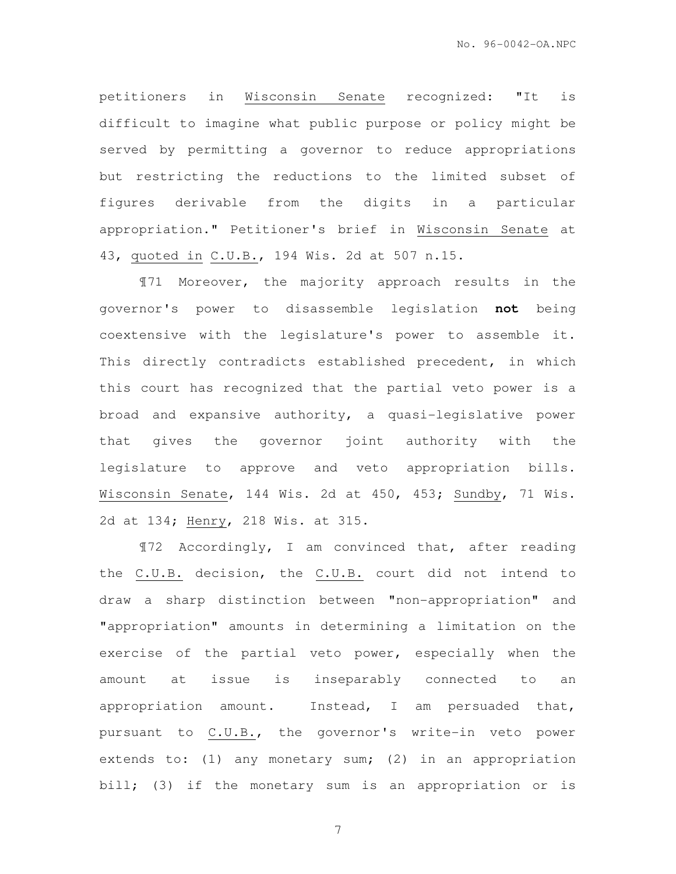petitioners in Wisconsin Senate recognized: "It is difficult to imagine what public purpose or policy might be served by permitting a governor to reduce appropriations but restricting the reductions to the limited subset of figures derivable from the digits in a particular appropriation." Petitioner's brief in Wisconsin Senate at 43, quoted in C.U.B., 194 Wis. 2d at 507 n.15.

¶71 Moreover, the majority approach results in the governor's power to disassemble legislation **not** being coextensive with the legislature's power to assemble it. This directly contradicts established precedent, in which this court has recognized that the partial veto power is a broad and expansive authority, a quasi-legislative power that gives the governor joint authority with the legislature to approve and veto appropriation bills. Wisconsin Senate, 144 Wis. 2d at 450, 453; Sundby, 71 Wis. 2d at 134; Henry, 218 Wis. at 315.

¶72 Accordingly, I am convinced that, after reading the C.U.B. decision, the C.U.B. court did not intend to draw a sharp distinction between "non-appropriation" and "appropriation" amounts in determining a limitation on the exercise of the partial veto power, especially when the amount at issue is inseparably connected to an appropriation amount. Instead, I am persuaded that, pursuant to C.U.B., the governor's write-in veto power extends to: (1) any monetary sum; (2) in an appropriation bill; (3) if the monetary sum is an appropriation or is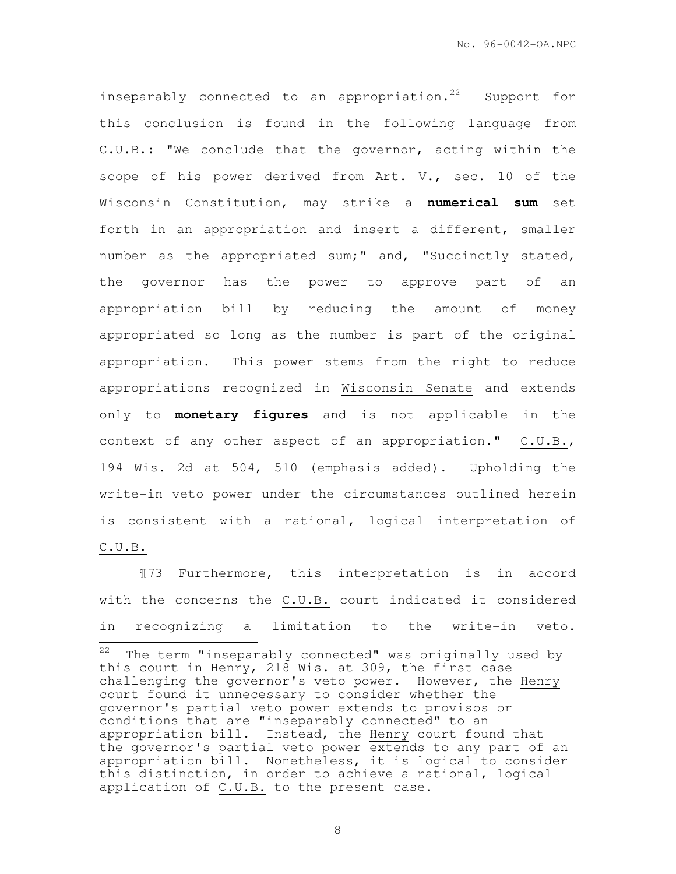inseparably connected to an appropriation.<sup>22</sup> Support for this conclusion is found in the following language from C.U.B.: "We conclude that the governor, acting within the scope of his power derived from Art. V., sec. 10 of the Wisconsin Constitution, may strike a **numerical sum** set forth in an appropriation and insert a different, smaller number as the appropriated sum;" and, "Succinctly stated, the governor has the power to approve part of an appropriation bill by reducing the amount of money appropriated so long as the number is part of the original appropriation. This power stems from the right to reduce appropriations recognized in Wisconsin Senate and extends only to **monetary figures** and is not applicable in the context of any other aspect of an appropriation." C.U.B., 194 Wis. 2d at 504, 510 (emphasis added). Upholding the write-in veto power under the circumstances outlined herein is consistent with a rational, logical interpretation of C.U.B.

¶73 Furthermore, this interpretation is in accord with the concerns the C.U.B. court indicated it considered in recognizing a limitation to the write-in veto.

 $22$ The term "inseparably connected" was originally used by this court in Henry, 218 Wis. at 309, the first case challenging the governor's veto power. However, the Henry court found it unnecessary to consider whether the governor's partial veto power extends to provisos or conditions that are "inseparably connected" to an appropriation bill. Instead, the Henry court found that the governor's partial veto power extends to any part of an appropriation bill. Nonetheless, it is logical to consider this distinction, in order to achieve a rational, logical application of C.U.B. to the present case.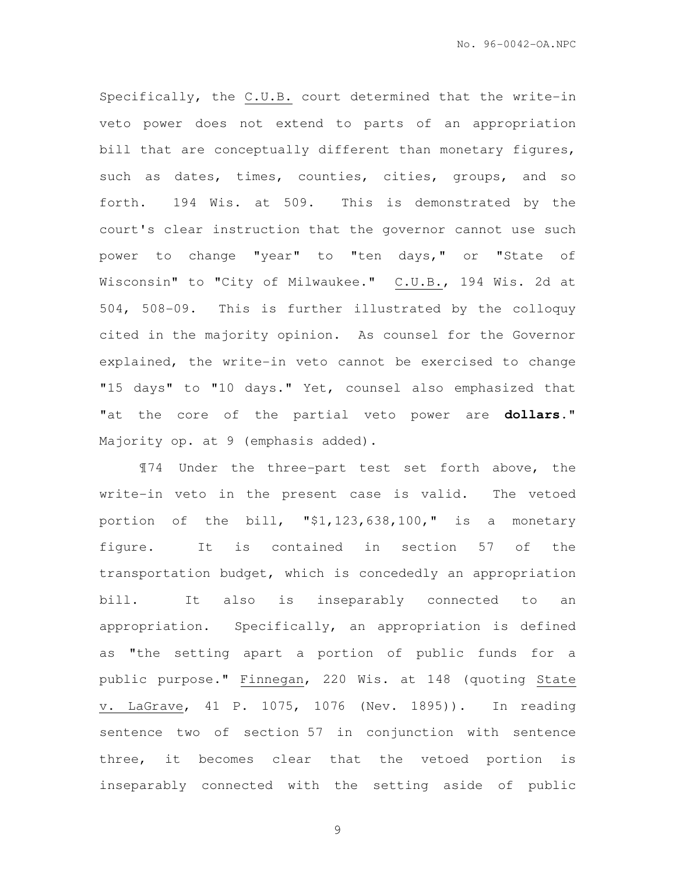Specifically, the C.U.B. court determined that the write-in veto power does not extend to parts of an appropriation bill that are conceptually different than monetary figures, such as dates, times, counties, cities, groups, and so forth. 194 Wis. at 509. This is demonstrated by the court's clear instruction that the governor cannot use such power to change "year" to "ten days," or "State of Wisconsin" to "City of Milwaukee." C.U.B., 194 Wis. 2d at 504, 508-09. This is further illustrated by the colloquy cited in the majority opinion. As counsel for the Governor explained, the write-in veto cannot be exercised to change "15 days" to "10 days." Yet, counsel also emphasized that "at the core of the partial veto power are **dollars**." Majority op. at 9 (emphasis added).

¶74 Under the three-part test set forth above, the write-in veto in the present case is valid. The vetoed portion of the bill, "\$1,123,638,100," is a monetary figure. It is contained in section 57 of the transportation budget, which is concededly an appropriation bill. It also is inseparably connected to an appropriation. Specifically, an appropriation is defined as "the setting apart a portion of public funds for a public purpose." Finnegan, 220 Wis. at 148 (quoting State v. LaGrave, 41 P. 1075, 1076 (Nev. 1895)). In reading sentence two of section 57 in conjunction with sentence three, it becomes clear that the vetoed portion is inseparably connected with the setting aside of public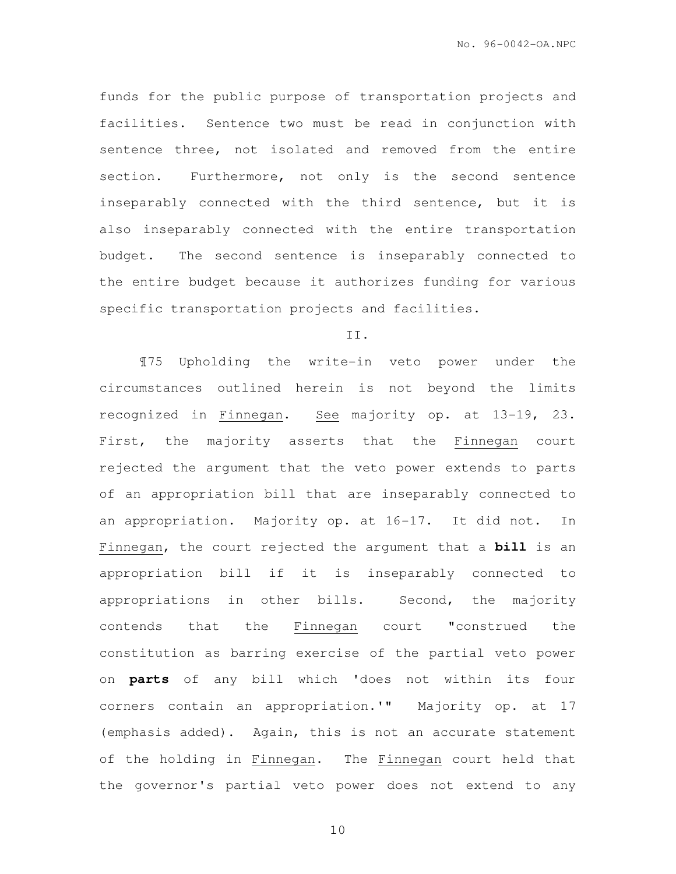funds for the public purpose of transportation projects and facilities. Sentence two must be read in conjunction with sentence three, not isolated and removed from the entire section. Furthermore, not only is the second sentence inseparably connected with the third sentence, but it is also inseparably connected with the entire transportation budget. The second sentence is inseparably connected to the entire budget because it authorizes funding for various specific transportation projects and facilities.

### II.

¶75 Upholding the write-in veto power under the circumstances outlined herein is not beyond the limits recognized in Finnegan. See majority op. at 13-19, 23. First, the majority asserts that the Finnegan court rejected the argument that the veto power extends to parts of an appropriation bill that are inseparably connected to an appropriation. Majority op. at 16-17. It did not. In Finnegan, the court rejected the argument that a **bill** is an appropriation bill if it is inseparably connected to appropriations in other bills. Second, the majority contends that the Finnegan court "construed the constitution as barring exercise of the partial veto power on **parts** of any bill which 'does not within its four corners contain an appropriation.'" Majority op. at 17 (emphasis added). Again, this is not an accurate statement of the holding in Finnegan. The Finnegan court held that the governor's partial veto power does not extend to any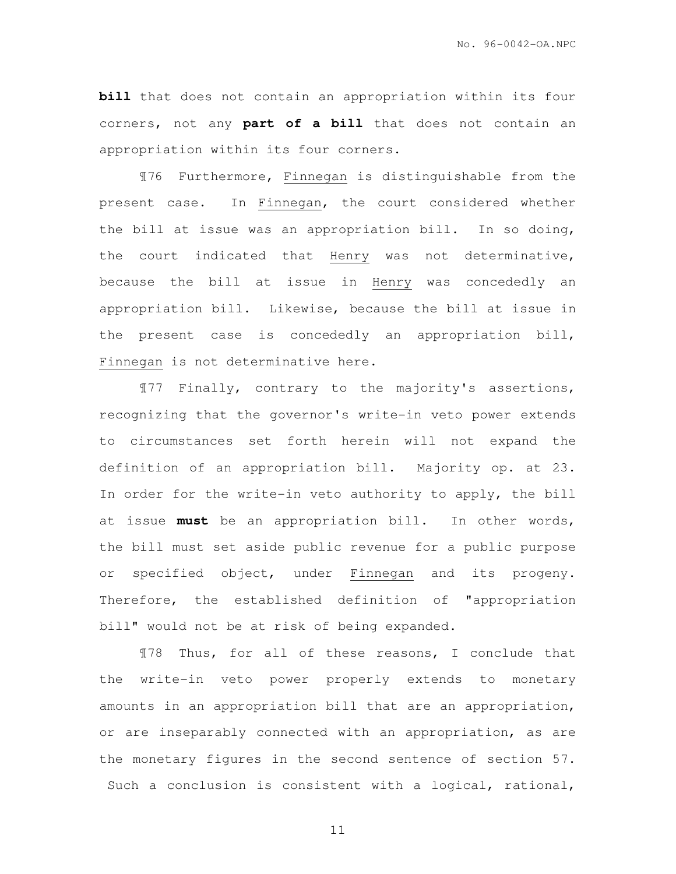**bill** that does not contain an appropriation within its four corners, not any **part of a bill** that does not contain an appropriation within its four corners.

¶76 Furthermore, Finnegan is distinguishable from the present case. In Finnegan, the court considered whether the bill at issue was an appropriation bill. In so doing, the court indicated that Henry was not determinative, because the bill at issue in Henry was concededly an appropriation bill. Likewise, because the bill at issue in the present case is concededly an appropriation bill, Finnegan is not determinative here.

¶77 Finally, contrary to the majority's assertions, recognizing that the governor's write-in veto power extends to circumstances set forth herein will not expand the definition of an appropriation bill. Majority op. at 23. In order for the write-in veto authority to apply, the bill at issue **must** be an appropriation bill. In other words, the bill must set aside public revenue for a public purpose or specified object, under Finnegan and its progeny. Therefore, the established definition of "appropriation bill" would not be at risk of being expanded.

¶78 Thus, for all of these reasons, I conclude that the write-in veto power properly extends to monetary amounts in an appropriation bill that are an appropriation, or are inseparably connected with an appropriation, as are the monetary figures in the second sentence of section 57. Such a conclusion is consistent with a logical, rational,